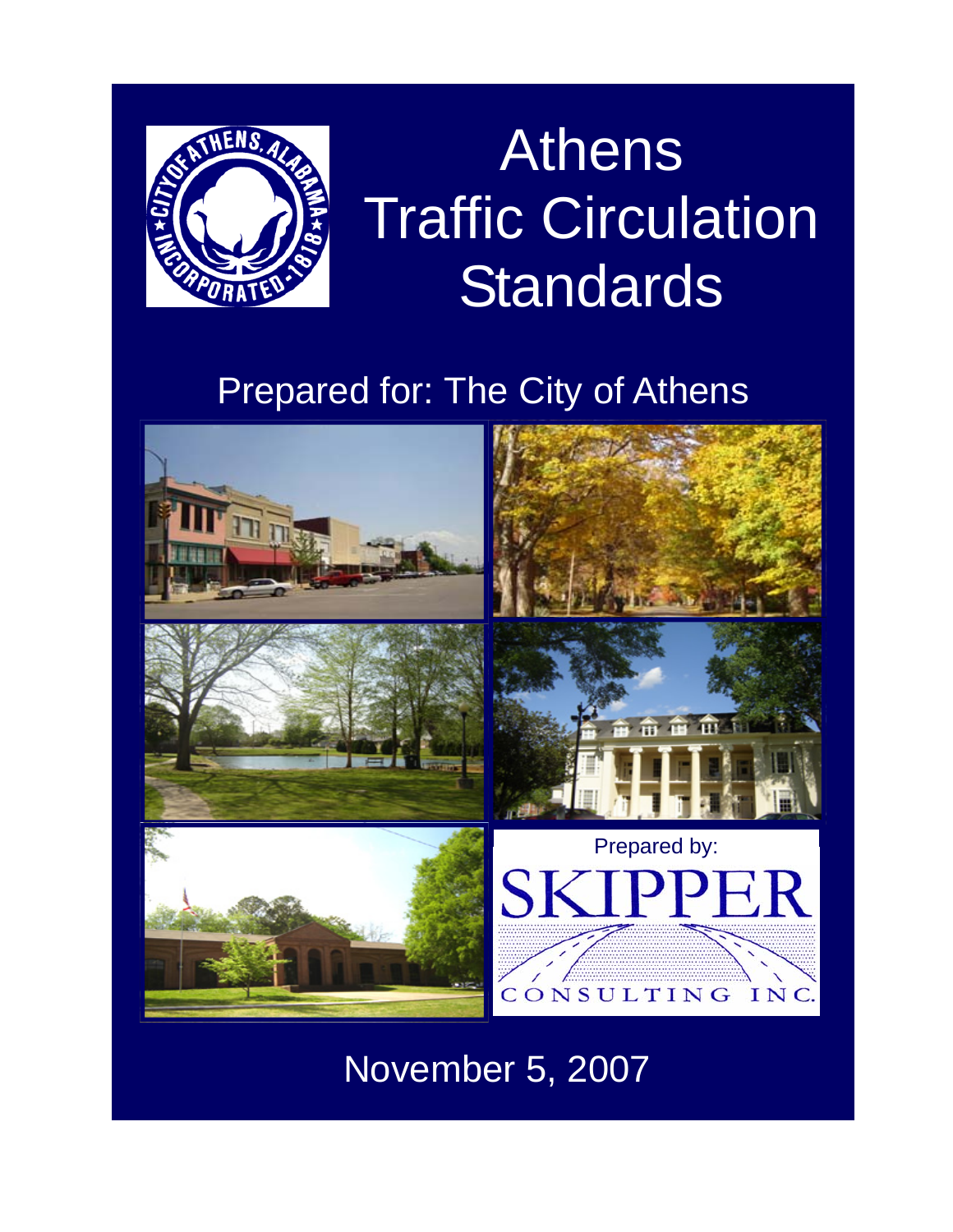

# Athens Traffic Circulation **Standards**

### Prepared for: The City of Athens



November 5, 2007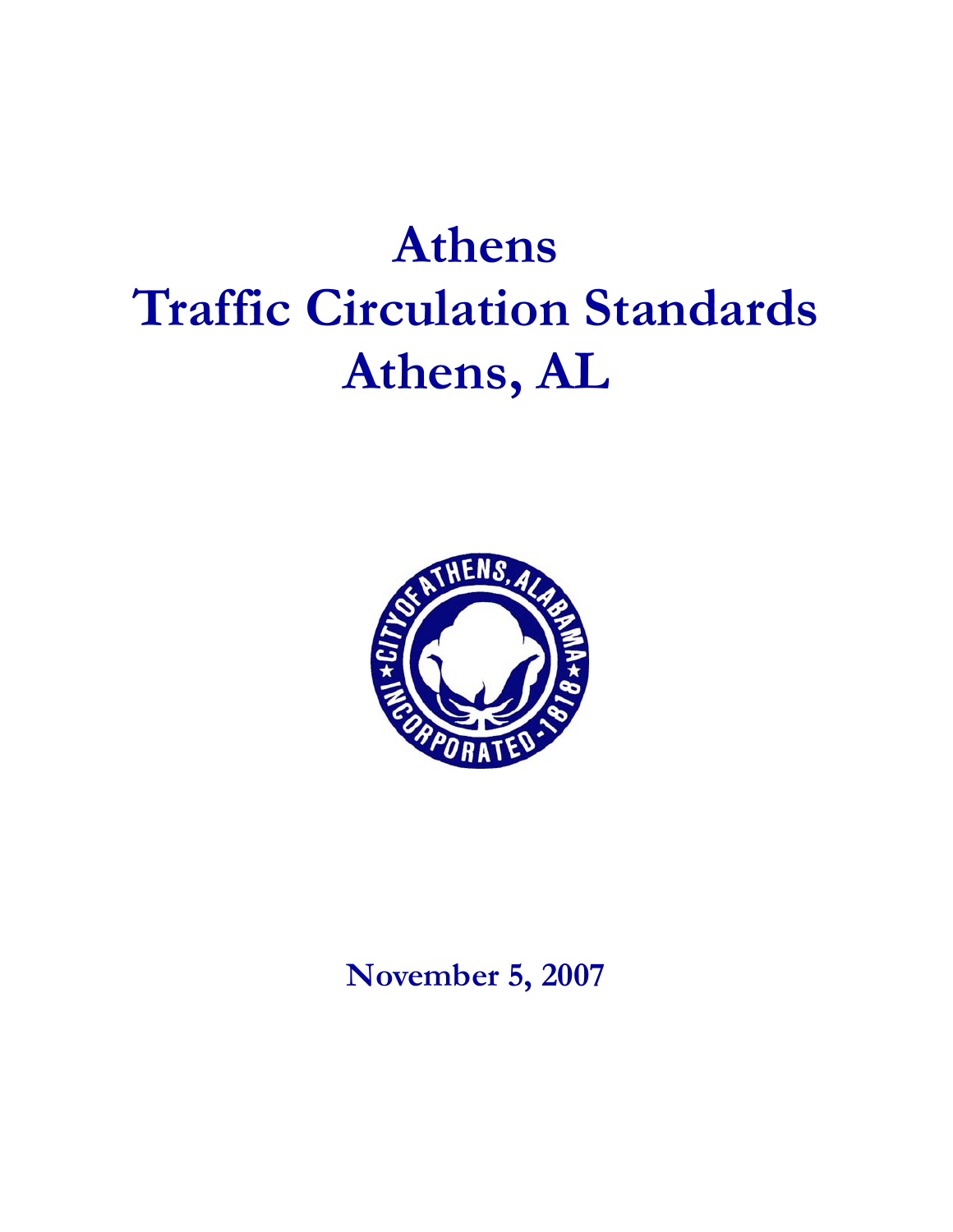## **Athens Traffic Circulation Standards Athens, AL**



**November 5, 2007**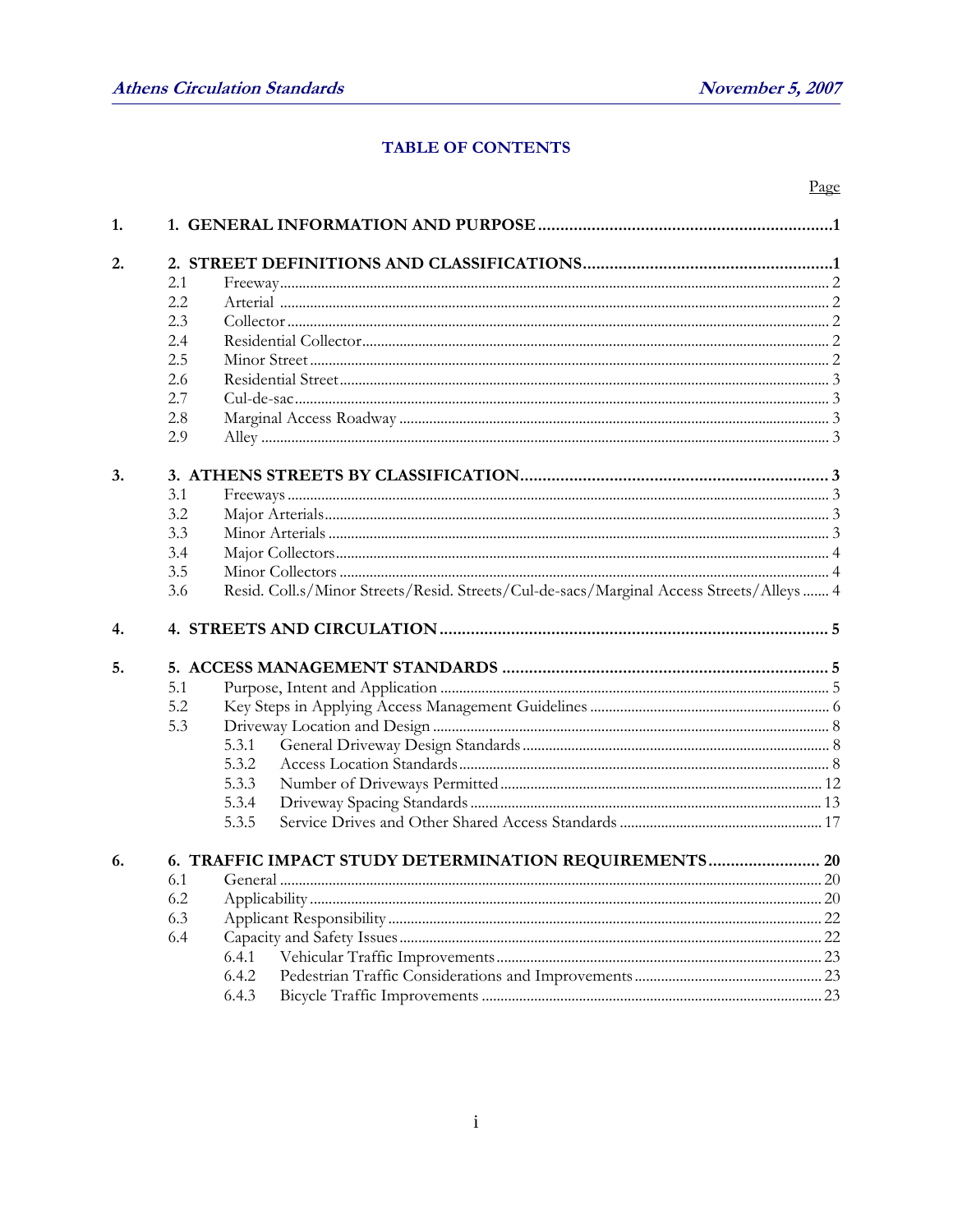Page

#### TABLE OF CONTENTS

| 1. |     |                                                                                          |                                                       |  |  |  |  |
|----|-----|------------------------------------------------------------------------------------------|-------------------------------------------------------|--|--|--|--|
| 2. |     |                                                                                          |                                                       |  |  |  |  |
|    | 2.1 |                                                                                          |                                                       |  |  |  |  |
|    | 2.2 |                                                                                          |                                                       |  |  |  |  |
|    | 2.3 |                                                                                          |                                                       |  |  |  |  |
|    | 2.4 |                                                                                          |                                                       |  |  |  |  |
|    | 2.5 |                                                                                          |                                                       |  |  |  |  |
|    | 2.6 |                                                                                          |                                                       |  |  |  |  |
|    | 2.7 |                                                                                          |                                                       |  |  |  |  |
|    | 2.8 |                                                                                          |                                                       |  |  |  |  |
|    | 2.9 |                                                                                          |                                                       |  |  |  |  |
| 3. |     |                                                                                          |                                                       |  |  |  |  |
|    | 3.1 |                                                                                          |                                                       |  |  |  |  |
|    | 3.2 |                                                                                          |                                                       |  |  |  |  |
|    | 3.3 |                                                                                          |                                                       |  |  |  |  |
|    | 3.4 |                                                                                          |                                                       |  |  |  |  |
|    | 3.5 |                                                                                          |                                                       |  |  |  |  |
|    | 3.6 | Resid. Coll.s/Minor Streets/Resid. Streets/Cul-de-sacs/Marginal Access Streets/Alleys  4 |                                                       |  |  |  |  |
| 4. |     |                                                                                          |                                                       |  |  |  |  |
| 5. |     |                                                                                          |                                                       |  |  |  |  |
|    | 5.1 |                                                                                          |                                                       |  |  |  |  |
|    | 5.2 |                                                                                          |                                                       |  |  |  |  |
|    | 5.3 |                                                                                          |                                                       |  |  |  |  |
|    |     | 5.3.1                                                                                    |                                                       |  |  |  |  |
|    |     | 5.3.2                                                                                    |                                                       |  |  |  |  |
|    |     | 5.3.3                                                                                    |                                                       |  |  |  |  |
|    |     | 5.3.4                                                                                    |                                                       |  |  |  |  |
|    |     | 5.3.5                                                                                    |                                                       |  |  |  |  |
| 6. |     |                                                                                          | 6. TRAFFIC IMPACT STUDY DETERMINATION REQUIREMENTS 20 |  |  |  |  |
|    | 6.1 |                                                                                          |                                                       |  |  |  |  |
|    | 6.2 |                                                                                          |                                                       |  |  |  |  |
|    | 6.3 |                                                                                          |                                                       |  |  |  |  |
|    | 6.4 |                                                                                          |                                                       |  |  |  |  |
|    |     | 6.4.1                                                                                    |                                                       |  |  |  |  |
|    |     | 6.4.2                                                                                    |                                                       |  |  |  |  |
|    |     | 6.4.3                                                                                    |                                                       |  |  |  |  |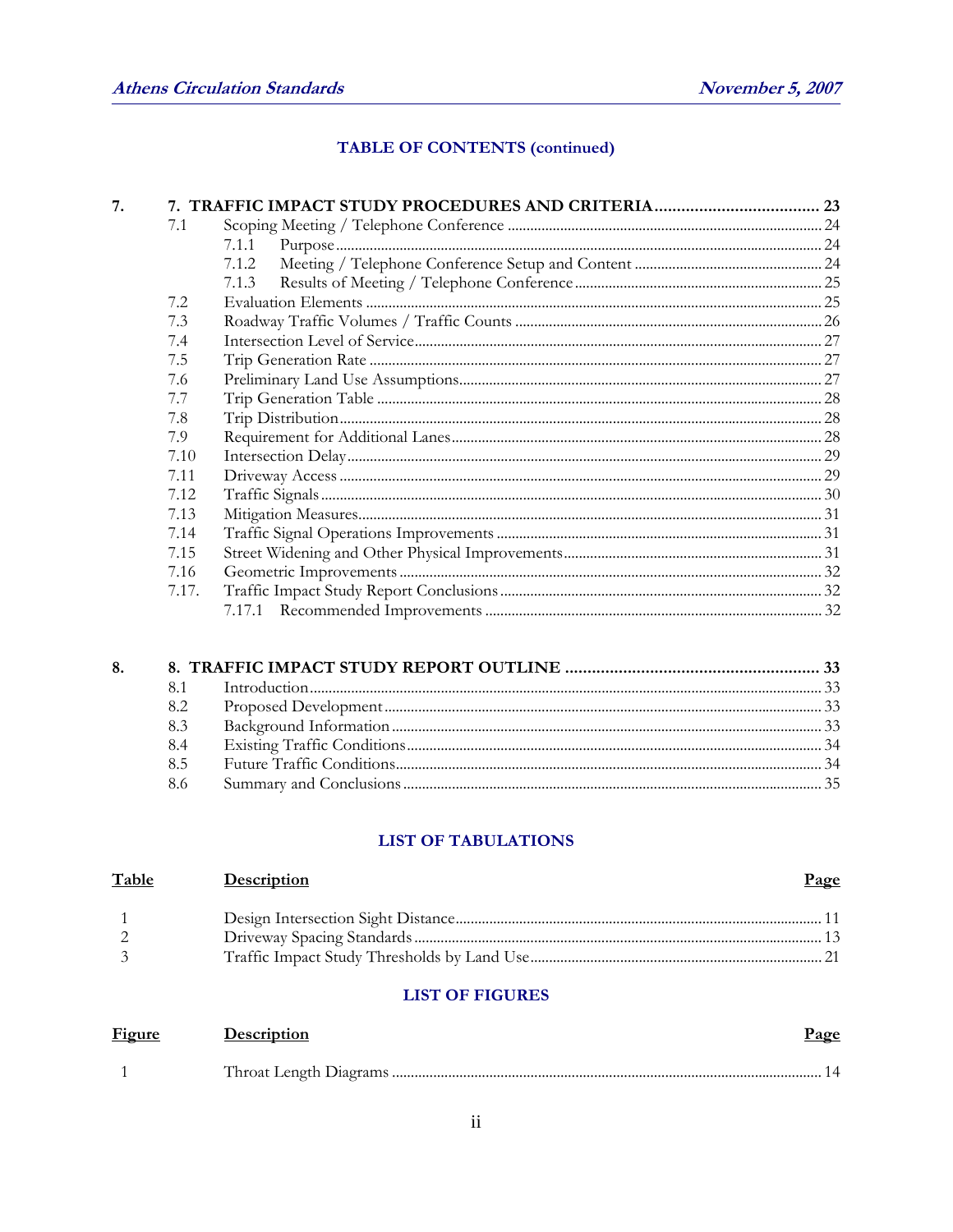### **TABLE OF CONTENTS (continued)**

| 7. |       |       |  |
|----|-------|-------|--|
|    | 7.1   |       |  |
|    |       | 7.1.1 |  |
|    |       | 7.1.2 |  |
|    |       | 7.1.3 |  |
|    | 7.2   |       |  |
|    | 7.3   |       |  |
|    | 7.4   |       |  |
|    | 7.5   |       |  |
|    | 7.6   |       |  |
|    | 7.7   |       |  |
|    | 7.8   |       |  |
|    | 7.9   |       |  |
|    | 7.10  |       |  |
|    | 7.11  |       |  |
|    | 7.12  |       |  |
|    | 7.13  |       |  |
|    | 7.14  |       |  |
|    | 7.15  |       |  |
|    | 7.16  |       |  |
|    | 7.17. |       |  |
|    |       |       |  |
|    |       |       |  |

#### **LIST OF TABULATIONS**

| <b>Description</b> | <u>Page</u> |
|--------------------|-------------|
|                    |             |
|                    |             |
|                    |             |
|                    |             |

#### **LIST OF FIGURES**

| <b>Figure</b> | Description | <u>Page</u> |
|---------------|-------------|-------------|
|               |             |             |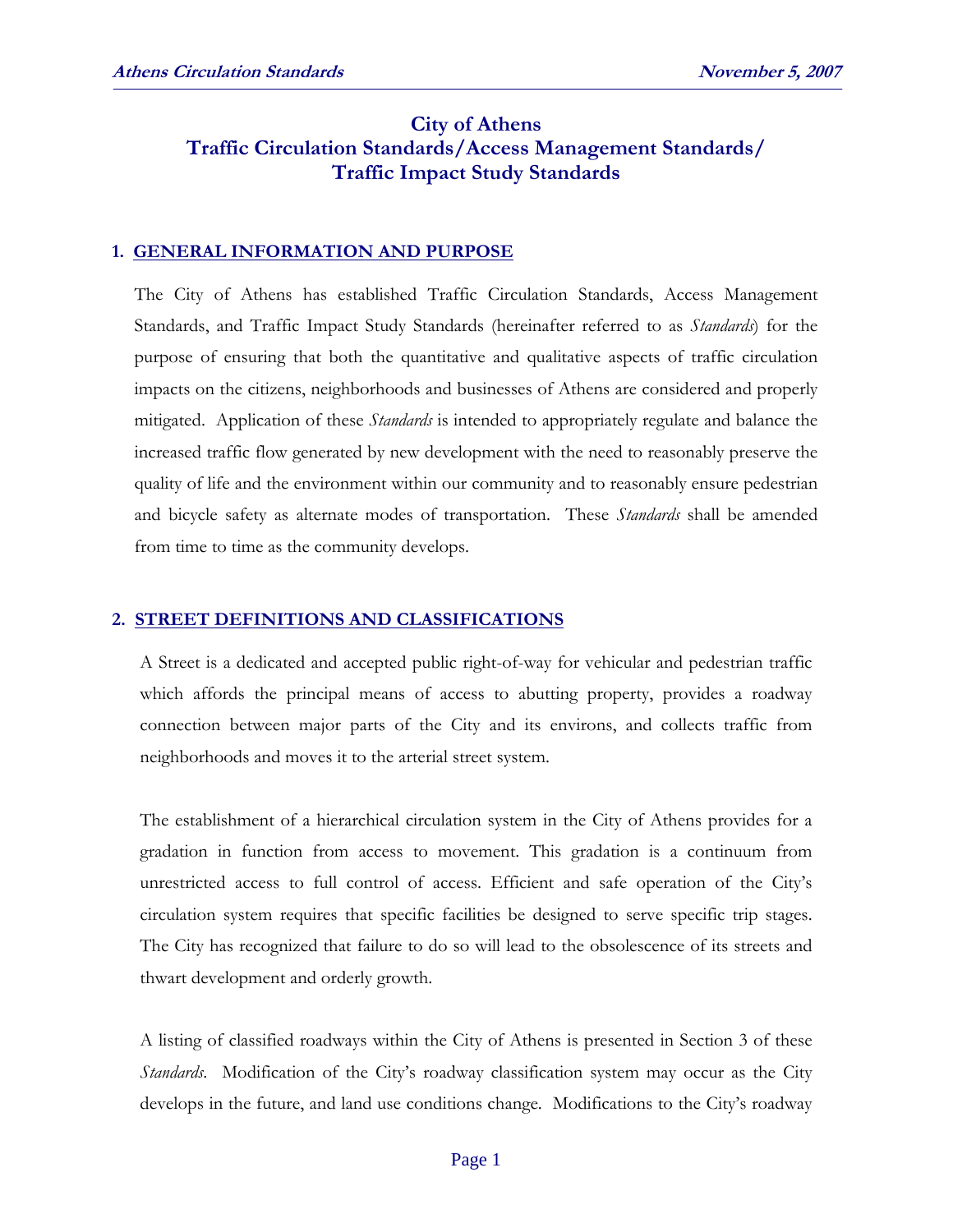#### **City of Athens Traffic Circulation Standards/Access Management Standards/ Traffic Impact Study Standards**

#### **1. GENERAL INFORMATION AND PURPOSE**

The City of Athens has established Traffic Circulation Standards, Access Management Standards, and Traffic Impact Study Standards (hereinafter referred to as *Standards*) for the purpose of ensuring that both the quantitative and qualitative aspects of traffic circulation impacts on the citizens, neighborhoods and businesses of Athens are considered and properly mitigated. Application of these *Standards* is intended to appropriately regulate and balance the increased traffic flow generated by new development with the need to reasonably preserve the quality of life and the environment within our community and to reasonably ensure pedestrian and bicycle safety as alternate modes of transportation. These *Standards* shall be amended from time to time as the community develops.

#### **2. STREET DEFINITIONS AND CLASSIFICATIONS**

A Street is a dedicated and accepted public right-of-way for vehicular and pedestrian traffic which affords the principal means of access to abutting property, provides a roadway connection between major parts of the City and its environs, and collects traffic from neighborhoods and moves it to the arterial street system.

The establishment of a hierarchical circulation system in the City of Athens provides for a gradation in function from access to movement. This gradation is a continuum from unrestricted access to full control of access. Efficient and safe operation of the City's circulation system requires that specific facilities be designed to serve specific trip stages. The City has recognized that failure to do so will lead to the obsolescence of its streets and thwart development and orderly growth.

A listing of classified roadways within the City of Athens is presented in Section 3 of these *Standards*. Modification of the City's roadway classification system may occur as the City develops in the future, and land use conditions change. Modifications to the City's roadway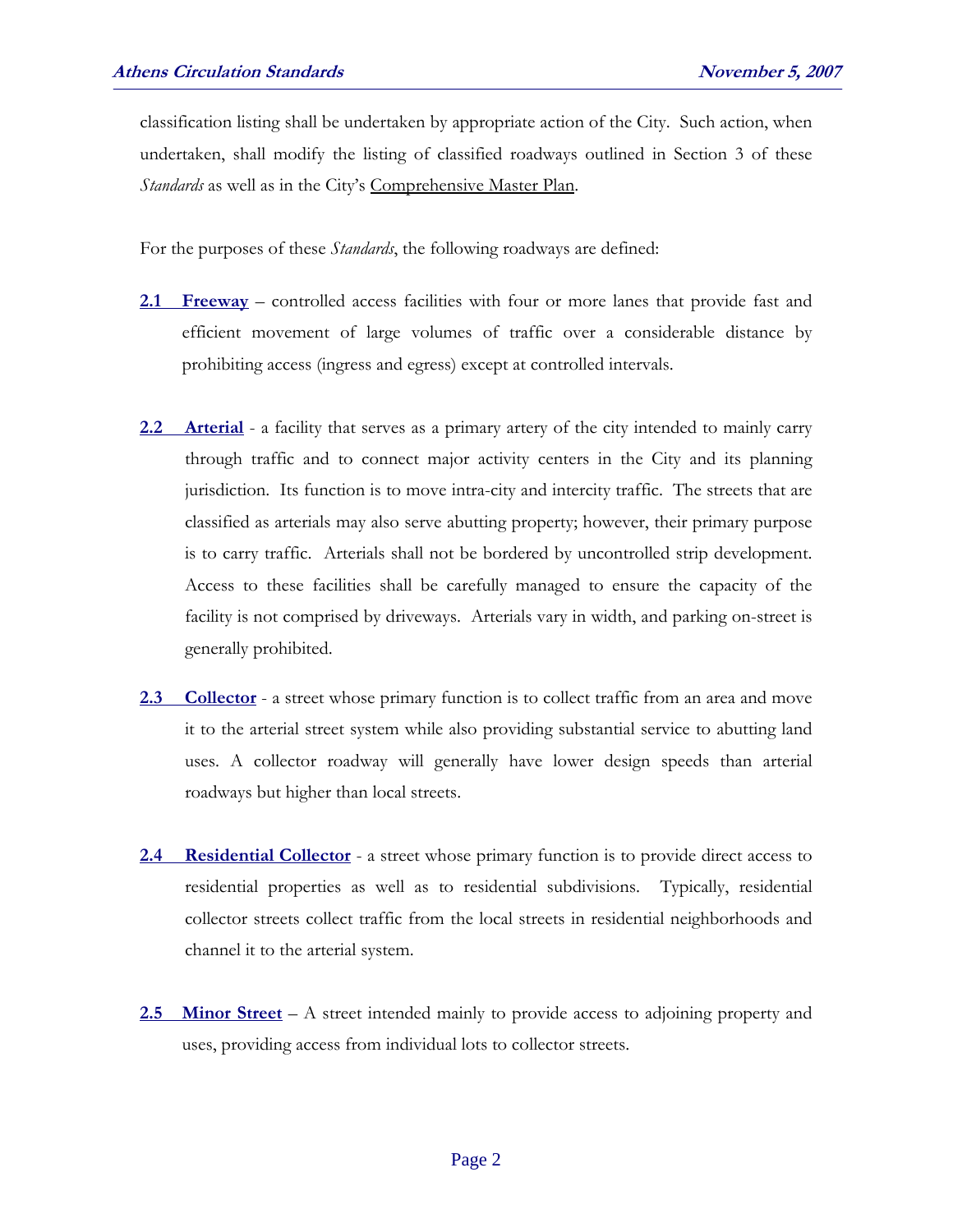classification listing shall be undertaken by appropriate action of the City. Such action, when undertaken, shall modify the listing of classified roadways outlined in Section 3 of these *Standards* as well as in the City's Comprehensive Master Plan.

For the purposes of these *Standards*, the following roadways are defined:

- **2.1 Freeway** controlled access facilities with four or more lanes that provide fast and efficient movement of large volumes of traffic over a considerable distance by prohibiting access (ingress and egress) except at controlled intervals.
- **2.2 Arterial** a facility that serves as a primary artery of the city intended to mainly carry through traffic and to connect major activity centers in the City and its planning jurisdiction. Its function is to move intra-city and intercity traffic. The streets that are classified as arterials may also serve abutting property; however, their primary purpose is to carry traffic. Arterials shall not be bordered by uncontrolled strip development. Access to these facilities shall be carefully managed to ensure the capacity of the facility is not comprised by driveways. Arterials vary in width, and parking on-street is generally prohibited.
- **2.3 Collector** a street whose primary function is to collect traffic from an area and move it to the arterial street system while also providing substantial service to abutting land uses. A collector roadway will generally have lower design speeds than arterial roadways but higher than local streets.
- 2.4 **Residential Collector** a street whose primary function is to provide direct access to residential properties as well as to residential subdivisions. Typically, residential collector streets collect traffic from the local streets in residential neighborhoods and channel it to the arterial system.
- **2.5 Minor Street** A street intended mainly to provide access to adjoining property and uses, providing access from individual lots to collector streets.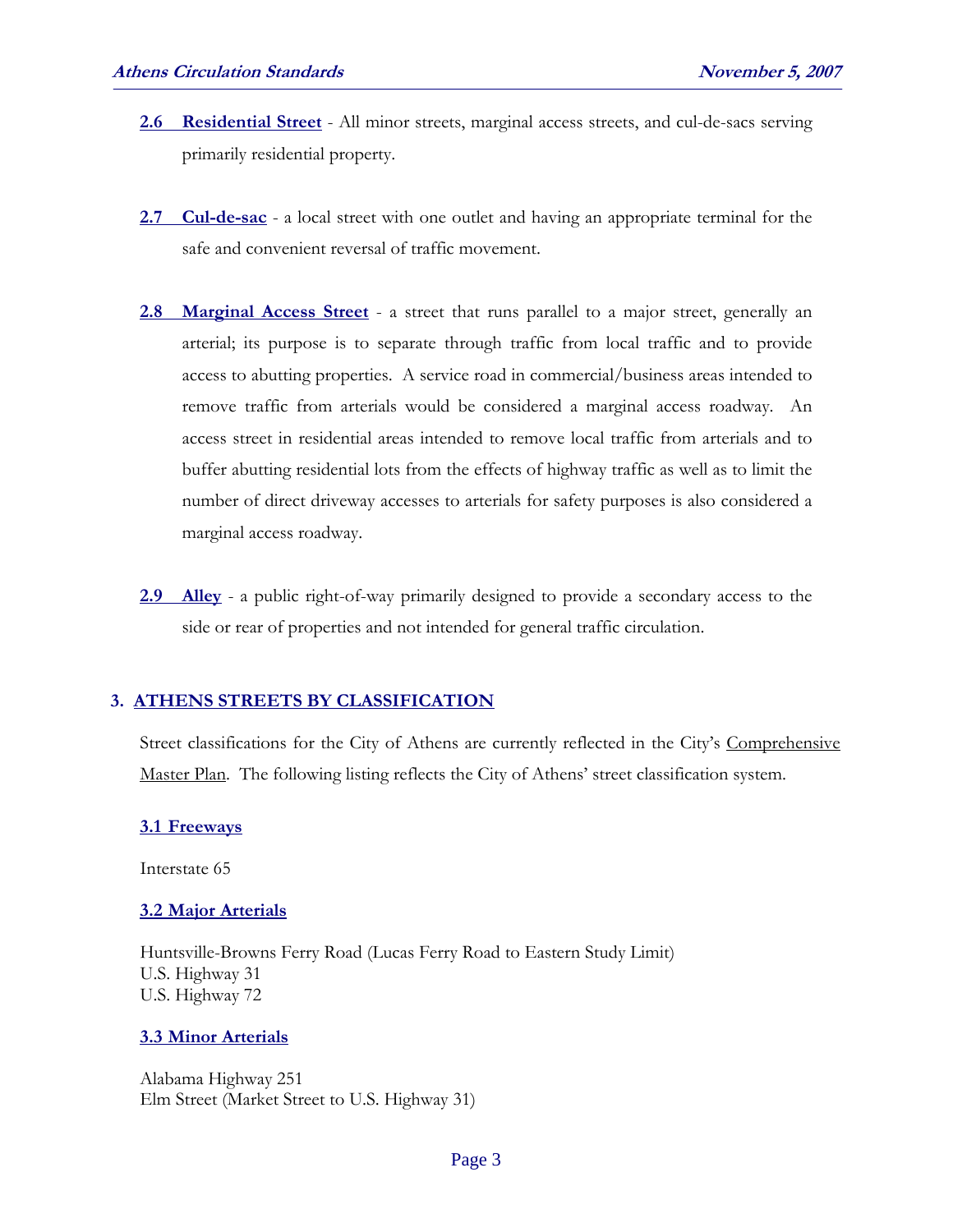- **2.6 Residential Street** All minor streets, marginal access streets, and cul-de-sacs serving primarily residential property.
- **2.7 Cul-de-sac** a local street with one outlet and having an appropriate terminal for the safe and convenient reversal of traffic movement.
- **2.8 Marginal Access Street** a street that runs parallel to a major street, generally an arterial; its purpose is to separate through traffic from local traffic and to provide access to abutting properties. A service road in commercial/business areas intended to remove traffic from arterials would be considered a marginal access roadway. An access street in residential areas intended to remove local traffic from arterials and to buffer abutting residential lots from the effects of highway traffic as well as to limit the number of direct driveway accesses to arterials for safety purposes is also considered a marginal access roadway.
- **2.9 Alley** a public right-of-way primarily designed to provide a secondary access to the side or rear of properties and not intended for general traffic circulation.

#### **3. ATHENS STREETS BY CLASSIFICATION**

Street classifications for the City of Athens are currently reflected in the City's Comprehensive Master Plan. The following listing reflects the City of Athens' street classification system.

#### **3.1 Freeways**

Interstate 65

#### **3.2 Major Arterials**

 Huntsville-Browns Ferry Road (Lucas Ferry Road to Eastern Study Limit) U.S. Highway 31 U.S. Highway 72

#### **3.3 Minor Arterials**

 Alabama Highway 251 Elm Street (Market Street to U.S. Highway 31)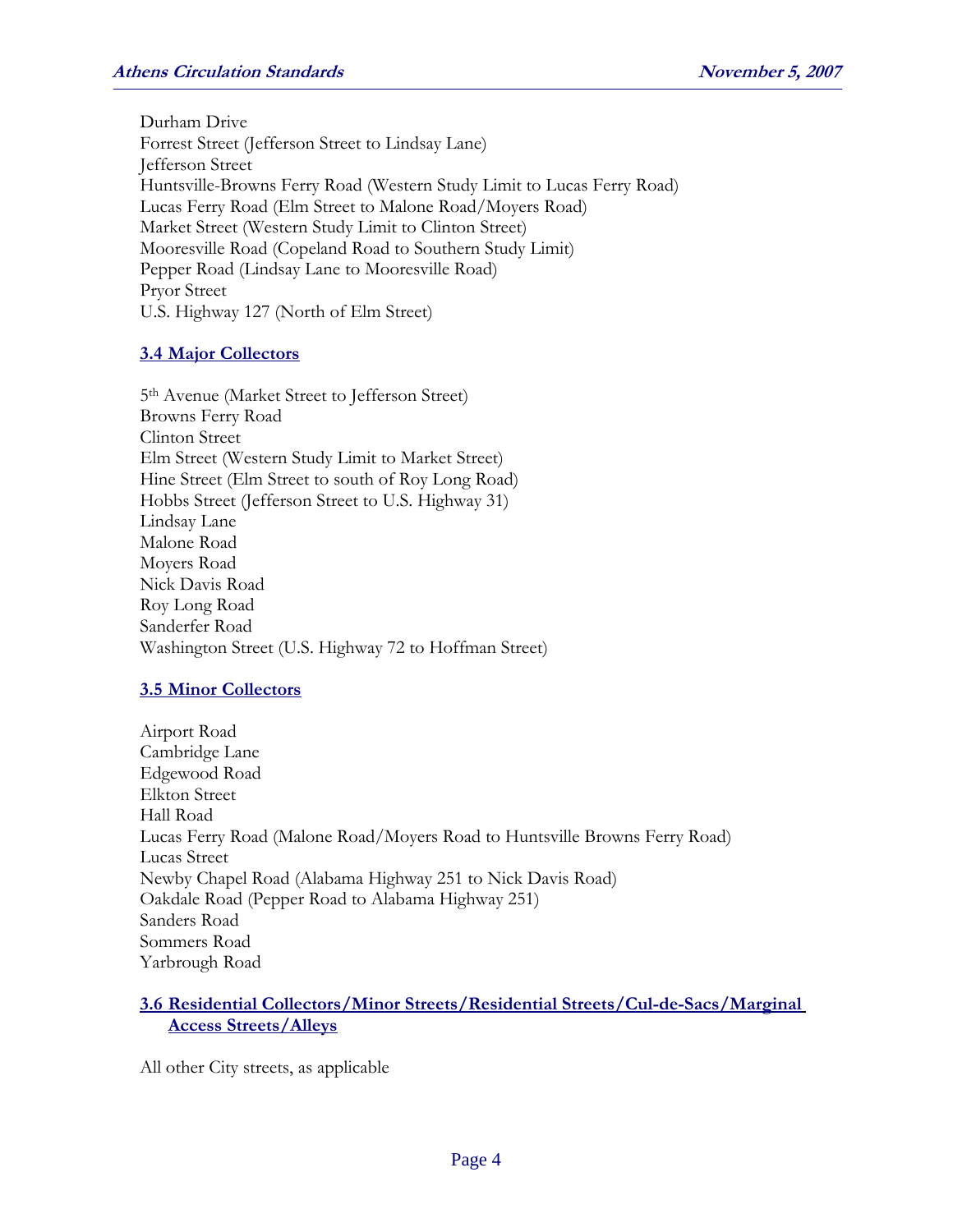Durham Drive Forrest Street (Jefferson Street to Lindsay Lane) Jefferson Street Huntsville-Browns Ferry Road (Western Study Limit to Lucas Ferry Road) Lucas Ferry Road (Elm Street to Malone Road/Moyers Road) Market Street (Western Study Limit to Clinton Street) Mooresville Road (Copeland Road to Southern Study Limit) Pepper Road (Lindsay Lane to Mooresville Road) Pryor Street U.S. Highway 127 (North of Elm Street)

#### **3.4 Major Collectors**

 5th Avenue (Market Street to Jefferson Street) Browns Ferry Road Clinton Street Elm Street (Western Study Limit to Market Street) Hine Street (Elm Street to south of Roy Long Road) Hobbs Street (Jefferson Street to U.S. Highway 31) Lindsay Lane Malone Road Moyers Road Nick Davis Road Roy Long Road Sanderfer Road Washington Street (U.S. Highway 72 to Hoffman Street)

#### **3.5 Minor Collectors**

 Airport Road Cambridge Lane Edgewood Road Elkton Street Hall Road Lucas Ferry Road (Malone Road/Moyers Road to Huntsville Browns Ferry Road) Lucas Street Newby Chapel Road (Alabama Highway 251 to Nick Davis Road) Oakdale Road (Pepper Road to Alabama Highway 251) Sanders Road Sommers Road Yarbrough Road

#### **3.6 Residential Collectors/Minor Streets/Residential Streets/Cul-de-Sacs/Marginal Access Streets/Alleys**

All other City streets, as applicable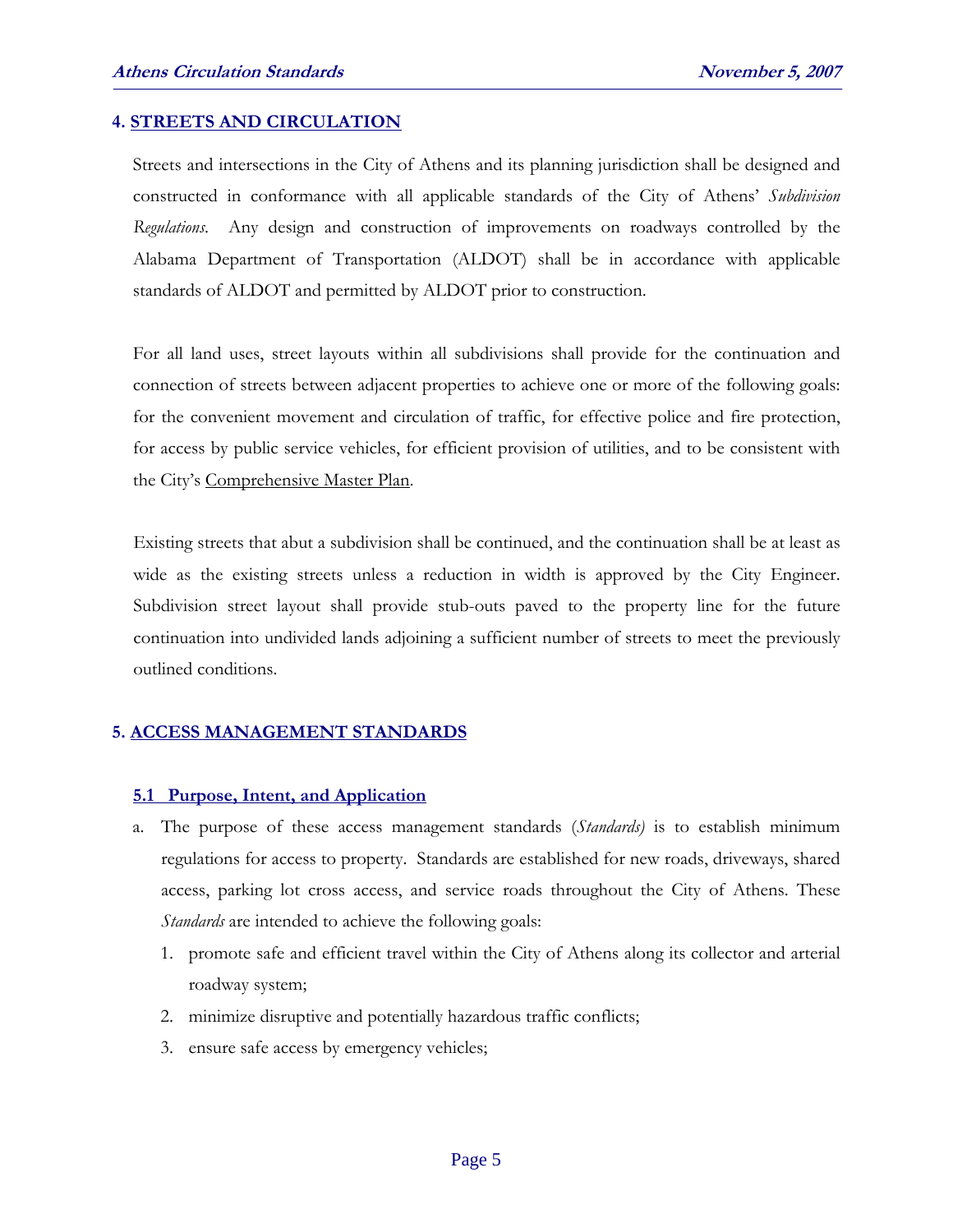#### **4. STREETS AND CIRCULATION**

Streets and intersections in the City of Athens and its planning jurisdiction shall be designed and constructed in conformance with all applicable standards of the City of Athens' *Subdivision Regulations*. Any design and construction of improvements on roadways controlled by the Alabama Department of Transportation (ALDOT) shall be in accordance with applicable standards of ALDOT and permitted by ALDOT prior to construction.

For all land uses, street layouts within all subdivisions shall provide for the continuation and connection of streets between adjacent properties to achieve one or more of the following goals: for the convenient movement and circulation of traffic, for effective police and fire protection, for access by public service vehicles, for efficient provision of utilities, and to be consistent with the City's Comprehensive Master Plan.

Existing streets that abut a subdivision shall be continued, and the continuation shall be at least as wide as the existing streets unless a reduction in width is approved by the City Engineer. Subdivision street layout shall provide stub-outs paved to the property line for the future continuation into undivided lands adjoining a sufficient number of streets to meet the previously outlined conditions.

#### **5. ACCESS MANAGEMENT STANDARDS**

#### **5.1 Purpose, Intent, and Application**

- a. The purpose of these access management standards (*Standards)* is to establish minimum regulations for access to property. Standards are established for new roads, driveways, shared access, parking lot cross access, and service roads throughout the City of Athens. These *Standards* are intended to achieve the following goals:
	- 1. promote safe and efficient travel within the City of Athens along its collector and arterial roadway system;
	- 2. minimize disruptive and potentially hazardous traffic conflicts;
	- 3. ensure safe access by emergency vehicles;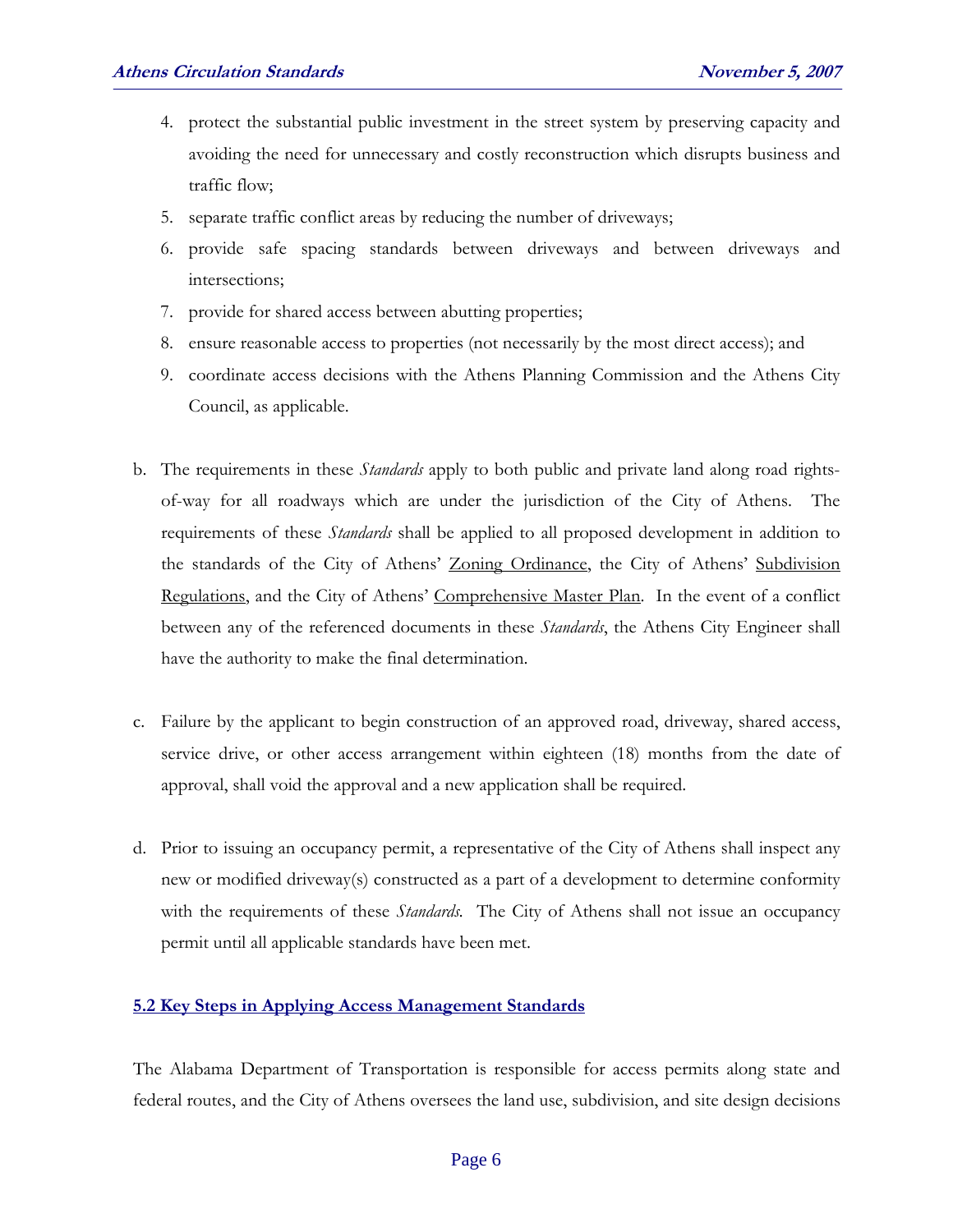- 4. protect the substantial public investment in the street system by preserving capacity and avoiding the need for unnecessary and costly reconstruction which disrupts business and traffic flow;
- 5. separate traffic conflict areas by reducing the number of driveways;
- 6. provide safe spacing standards between driveways and between driveways and intersections;
- 7. provide for shared access between abutting properties;
- 8. ensure reasonable access to properties (not necessarily by the most direct access); and
- 9. coordinate access decisions with the Athens Planning Commission and the Athens City Council, as applicable.
- b. The requirements in these *Standards* apply to both public and private land along road rightsof-way for all roadways which are under the jurisdiction of the City of Athens. The requirements of these *Standards* shall be applied to all proposed development in addition to the standards of the City of Athens' Zoning Ordinance, the City of Athens' Subdivision Regulations, and the City of Athens' Comprehensive Master Plan. In the event of a conflict between any of the referenced documents in these *Standards*, the Athens City Engineer shall have the authority to make the final determination.
- c. Failure by the applicant to begin construction of an approved road, driveway, shared access, service drive, or other access arrangement within eighteen (18) months from the date of approval, shall void the approval and a new application shall be required.
- d. Prior to issuing an occupancy permit, a representative of the City of Athens shall inspect any new or modified driveway(s) constructed as a part of a development to determine conformity with the requirements of these *Standards.* The City of Athens shall not issue an occupancy permit until all applicable standards have been met.

#### **5.2 Key Steps in Applying Access Management Standards**

 The Alabama Department of Transportation is responsible for access permits along state and federal routes, and the City of Athens oversees the land use, subdivision, and site design decisions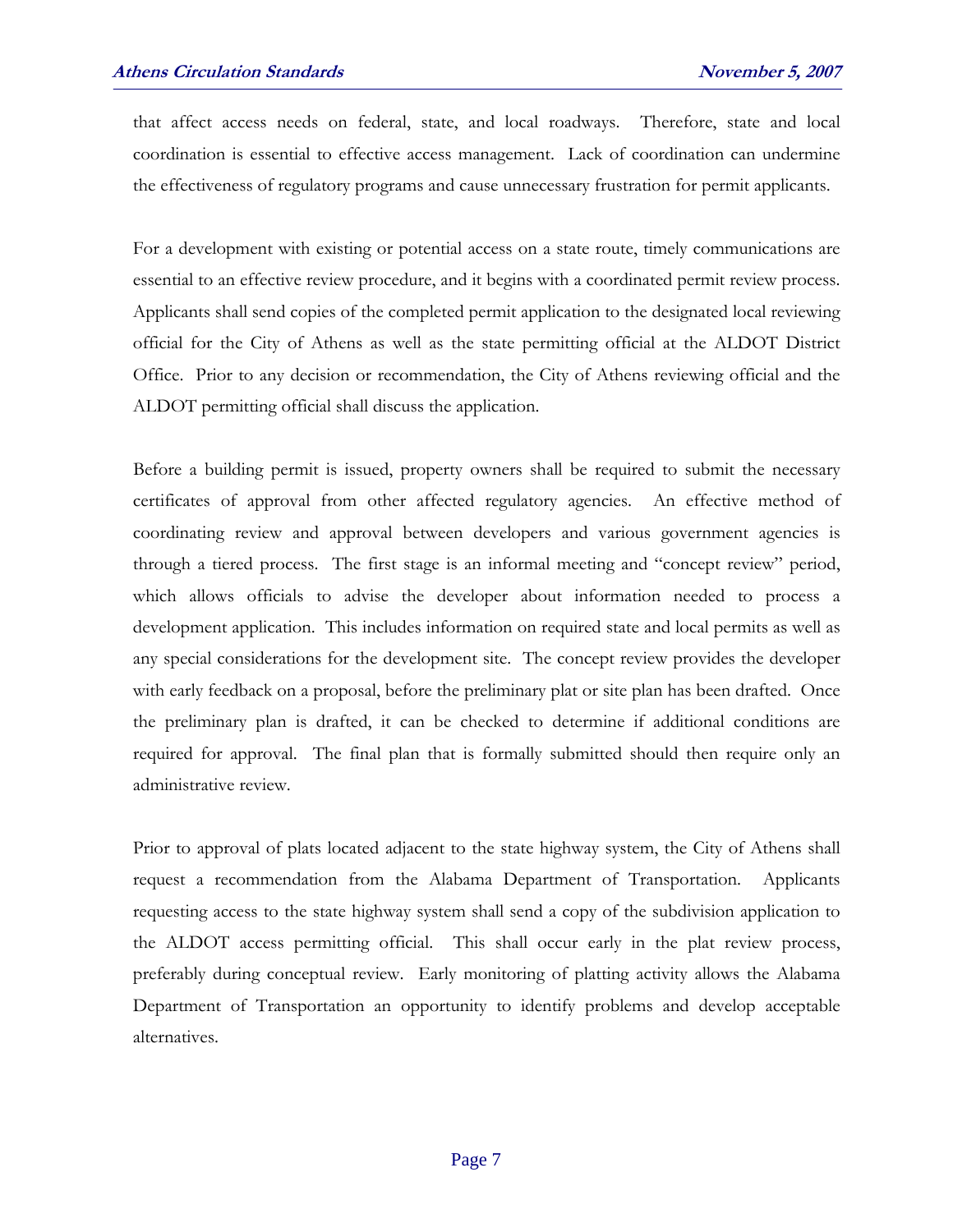that affect access needs on federal, state, and local roadways. Therefore, state and local coordination is essential to effective access management. Lack of coordination can undermine the effectiveness of regulatory programs and cause unnecessary frustration for permit applicants.

For a development with existing or potential access on a state route, timely communications are essential to an effective review procedure, and it begins with a coordinated permit review process. Applicants shall send copies of the completed permit application to the designated local reviewing official for the City of Athens as well as the state permitting official at the ALDOT District Office. Prior to any decision or recommendation, the City of Athens reviewing official and the ALDOT permitting official shall discuss the application.

Before a building permit is issued, property owners shall be required to submit the necessary certificates of approval from other affected regulatory agencies. An effective method of coordinating review and approval between developers and various government agencies is through a tiered process. The first stage is an informal meeting and "concept review" period, which allows officials to advise the developer about information needed to process a development application. This includes information on required state and local permits as well as any special considerations for the development site. The concept review provides the developer with early feedback on a proposal, before the preliminary plat or site plan has been drafted. Once the preliminary plan is drafted, it can be checked to determine if additional conditions are required for approval. The final plan that is formally submitted should then require only an administrative review.

Prior to approval of plats located adjacent to the state highway system, the City of Athens shall request a recommendation from the Alabama Department of Transportation. Applicants requesting access to the state highway system shall send a copy of the subdivision application to the ALDOT access permitting official. This shall occur early in the plat review process, preferably during conceptual review. Early monitoring of platting activity allows the Alabama Department of Transportation an opportunity to identify problems and develop acceptable alternatives.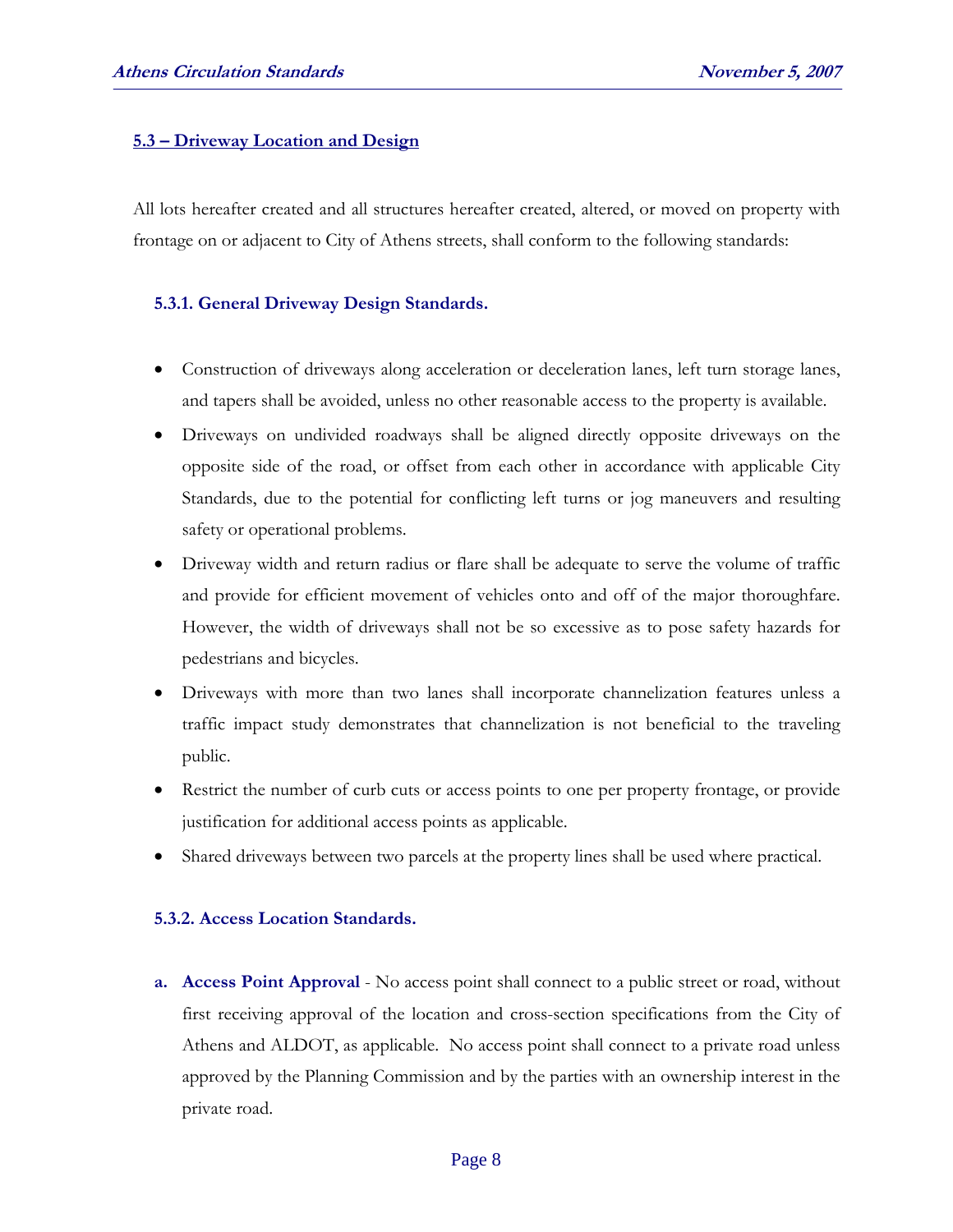#### **5.3 – Driveway Location and Design**

All lots hereafter created and all structures hereafter created, altered, or moved on property with frontage on or adjacent to City of Athens streets, shall conform to the following standards:

#### **5.3.1. General Driveway Design Standards.**

- Construction of driveways along acceleration or deceleration lanes, left turn storage lanes, and tapers shall be avoided, unless no other reasonable access to the property is available.
- Driveways on undivided roadways shall be aligned directly opposite driveways on the opposite side of the road, or offset from each other in accordance with applicable City Standards, due to the potential for conflicting left turns or jog maneuvers and resulting safety or operational problems.
- Driveway width and return radius or flare shall be adequate to serve the volume of traffic and provide for efficient movement of vehicles onto and off of the major thoroughfare. However, the width of driveways shall not be so excessive as to pose safety hazards for pedestrians and bicycles.
- Driveways with more than two lanes shall incorporate channelization features unless a traffic impact study demonstrates that channelization is not beneficial to the traveling public.
- Restrict the number of curb cuts or access points to one per property frontage, or provide justification for additional access points as applicable.
- Shared driveways between two parcels at the property lines shall be used where practical.

#### **5.3.2. Access Location Standards.**

**a. Access Point Approval** - No access point shall connect to a public street or road, without first receiving approval of the location and cross-section specifications from the City of Athens and ALDOT, as applicable. No access point shall connect to a private road unless approved by the Planning Commission and by the parties with an ownership interest in the private road.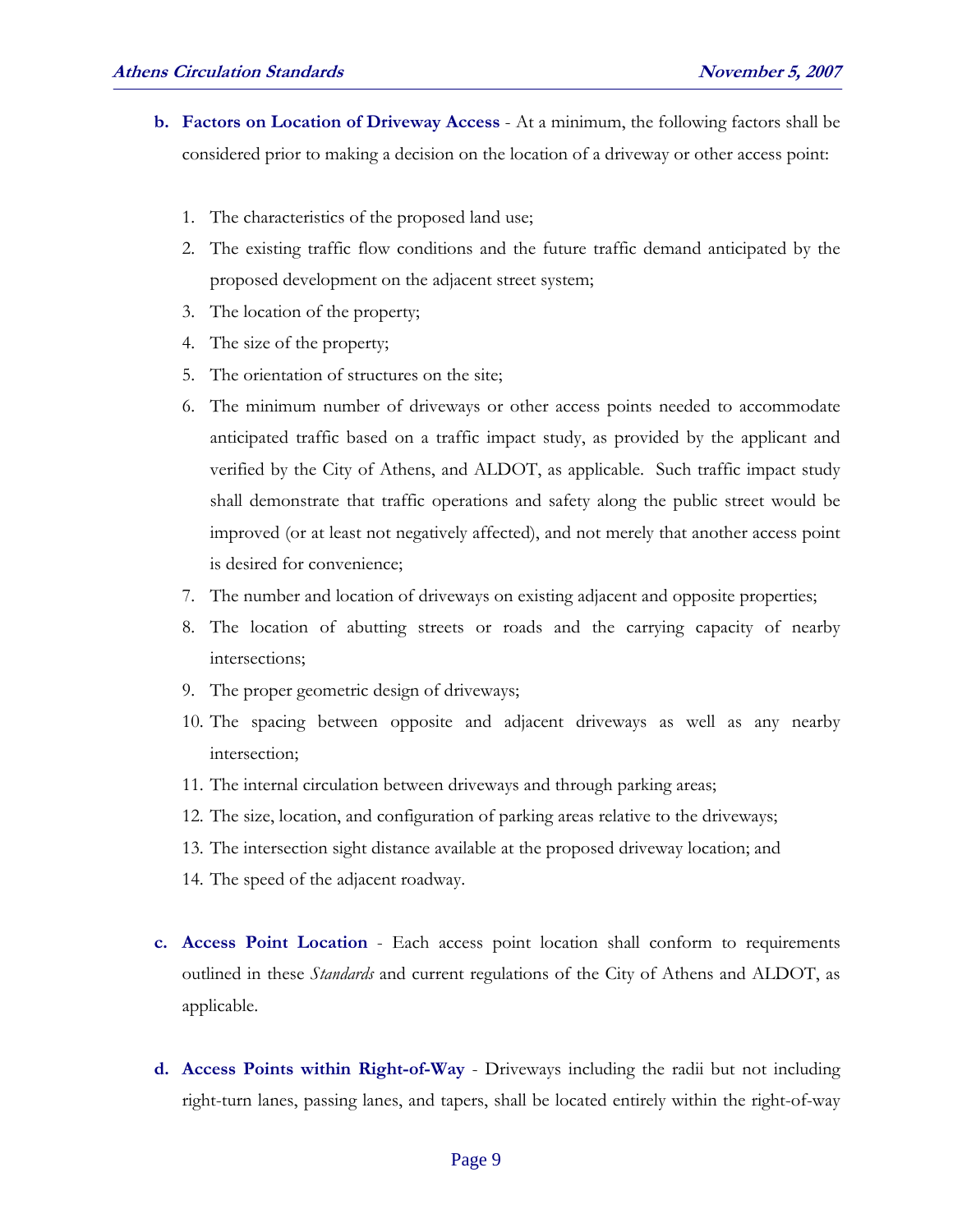- **b. Factors on Location of Driveway Access** At a minimum, the following factors shall be considered prior to making a decision on the location of a driveway or other access point:
	- 1. The characteristics of the proposed land use;
	- 2. The existing traffic flow conditions and the future traffic demand anticipated by the proposed development on the adjacent street system;
	- 3. The location of the property;
	- 4. The size of the property;
	- 5. The orientation of structures on the site;
	- 6. The minimum number of driveways or other access points needed to accommodate anticipated traffic based on a traffic impact study, as provided by the applicant and verified by the City of Athens, and ALDOT, as applicable. Such traffic impact study shall demonstrate that traffic operations and safety along the public street would be improved (or at least not negatively affected), and not merely that another access point is desired for convenience;
	- 7. The number and location of driveways on existing adjacent and opposite properties;
	- 8. The location of abutting streets or roads and the carrying capacity of nearby intersections;
	- 9. The proper geometric design of driveways;
	- 10. The spacing between opposite and adjacent driveways as well as any nearby intersection;
	- 11. The internal circulation between driveways and through parking areas;
	- 12. The size, location, and configuration of parking areas relative to the driveways;
	- 13. The intersection sight distance available at the proposed driveway location; and
	- 14. The speed of the adjacent roadway.
- **c. Access Point Location** Each access point location shall conform to requirements outlined in these *Standards* and current regulations of the City of Athens and ALDOT, as applicable.
- **d. Access Points within Right-of-Way** Driveways including the radii but not including right-turn lanes, passing lanes, and tapers, shall be located entirely within the right-of-way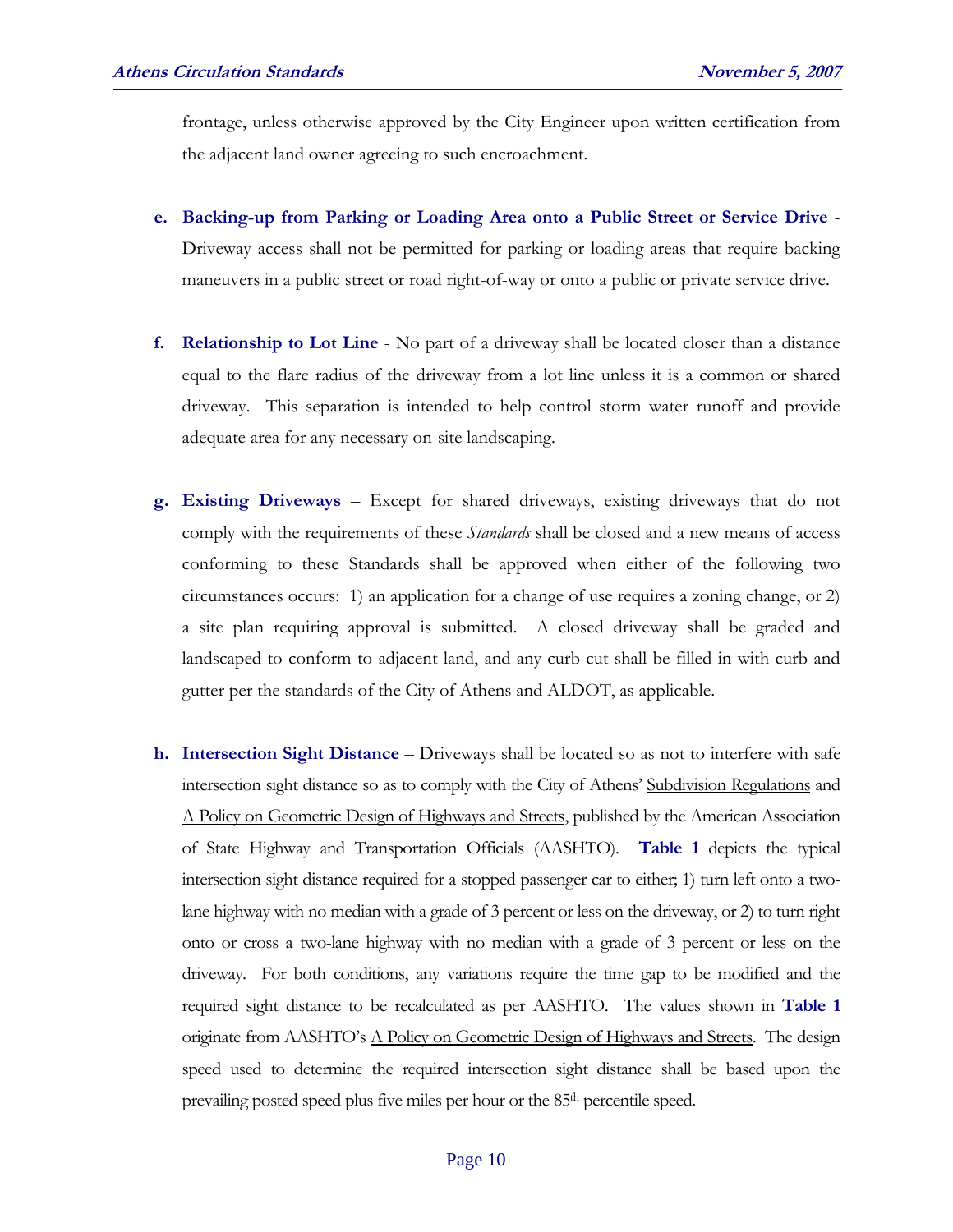frontage, unless otherwise approved by the City Engineer upon written certification from the adjacent land owner agreeing to such encroachment.

- **e. Backing-up from Parking or Loading Area onto a Public Street or Service Drive** Driveway access shall not be permitted for parking or loading areas that require backing maneuvers in a public street or road right-of-way or onto a public or private service drive.
- **f. Relationship to Lot Line** No part of a driveway shall be located closer than a distance equal to the flare radius of the driveway from a lot line unless it is a common or shared driveway. This separation is intended to help control storm water runoff and provide adequate area for any necessary on-site landscaping.
- **g. Existing Driveways** Except for shared driveways, existing driveways that do not comply with the requirements of these *Standards* shall be closed and a new means of access conforming to these Standards shall be approved when either of the following two circumstances occurs: 1) an application for a change of use requires a zoning change, or 2) a site plan requiring approval is submitted. A closed driveway shall be graded and landscaped to conform to adjacent land, and any curb cut shall be filled in with curb and gutter per the standards of the City of Athens and ALDOT, as applicable.
- **h. Intersection Sight Distance** Driveways shall be located so as not to interfere with safe intersection sight distance so as to comply with the City of Athens' Subdivision Regulations and A Policy on Geometric Design of Highways and Streets, published by the American Association of State Highway and Transportation Officials (AASHTO). **Table 1** depicts the typical intersection sight distance required for a stopped passenger car to either; 1) turn left onto a twolane highway with no median with a grade of 3 percent or less on the driveway, or 2) to turn right onto or cross a two-lane highway with no median with a grade of 3 percent or less on the driveway. For both conditions, any variations require the time gap to be modified and the required sight distance to be recalculated as per AASHTO. The values shown in **Table 1** originate from AASHTO's A Policy on Geometric Design of Highways and Streets. The design speed used to determine the required intersection sight distance shall be based upon the prevailing posted speed plus five miles per hour or the 85th percentile speed.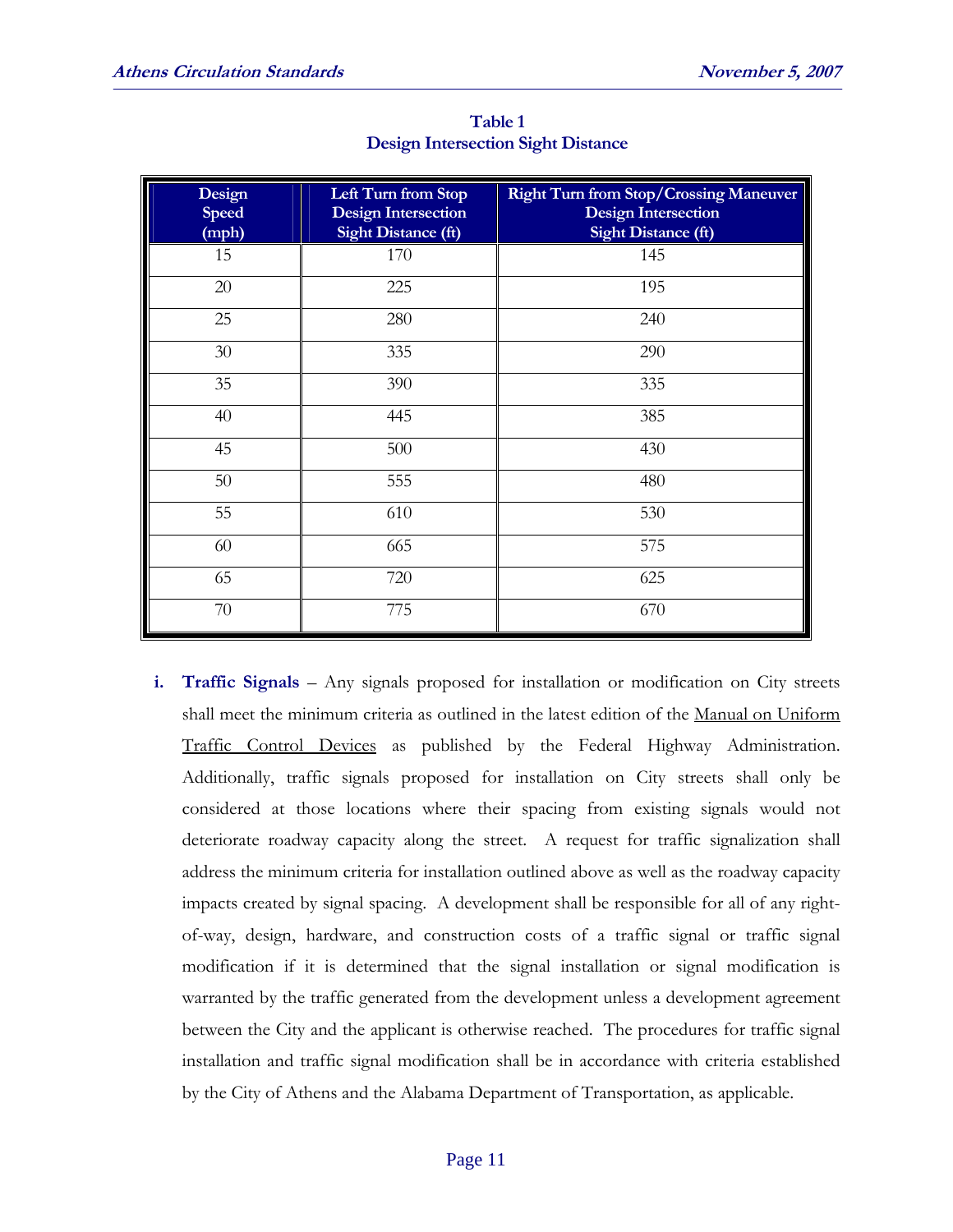| Design<br><b>Speed</b><br>(mph) | Left Turn from Stop<br><b>Design Intersection</b><br><b>Sight Distance (ft)</b> | <b>Right Turn from Stop/Crossing Maneuver</b><br><b>Design Intersection</b><br><b>Sight Distance (ft)</b> |  |
|---------------------------------|---------------------------------------------------------------------------------|-----------------------------------------------------------------------------------------------------------|--|
| 15                              | 170                                                                             | 145                                                                                                       |  |
| 20                              | 225                                                                             | 195                                                                                                       |  |
| 25                              | 280                                                                             | 240                                                                                                       |  |
| $30\,$                          | 335                                                                             | 290                                                                                                       |  |
| 35                              | 390                                                                             | 335                                                                                                       |  |
| 40                              | 445                                                                             | 385                                                                                                       |  |
| 45                              | 500                                                                             | 430                                                                                                       |  |
| $50\,$                          | 555                                                                             | 480                                                                                                       |  |
| 55                              | 610                                                                             | 530                                                                                                       |  |
| 60                              | 665                                                                             | 575                                                                                                       |  |
| 65                              | 720                                                                             | 625                                                                                                       |  |
| 70                              | 775                                                                             | 670                                                                                                       |  |

**Table 1 Design Intersection Sight Distance** 

**i. Traffic Signals** – Any signals proposed for installation or modification on City streets shall meet the minimum criteria as outlined in the latest edition of the Manual on Uniform Traffic Control Devices as published by the Federal Highway Administration. Additionally, traffic signals proposed for installation on City streets shall only be considered at those locations where their spacing from existing signals would not deteriorate roadway capacity along the street. A request for traffic signalization shall address the minimum criteria for installation outlined above as well as the roadway capacity impacts created by signal spacing. A development shall be responsible for all of any rightof-way, design, hardware, and construction costs of a traffic signal or traffic signal modification if it is determined that the signal installation or signal modification is warranted by the traffic generated from the development unless a development agreement between the City and the applicant is otherwise reached. The procedures for traffic signal installation and traffic signal modification shall be in accordance with criteria established by the City of Athens and the Alabama Department of Transportation, as applicable.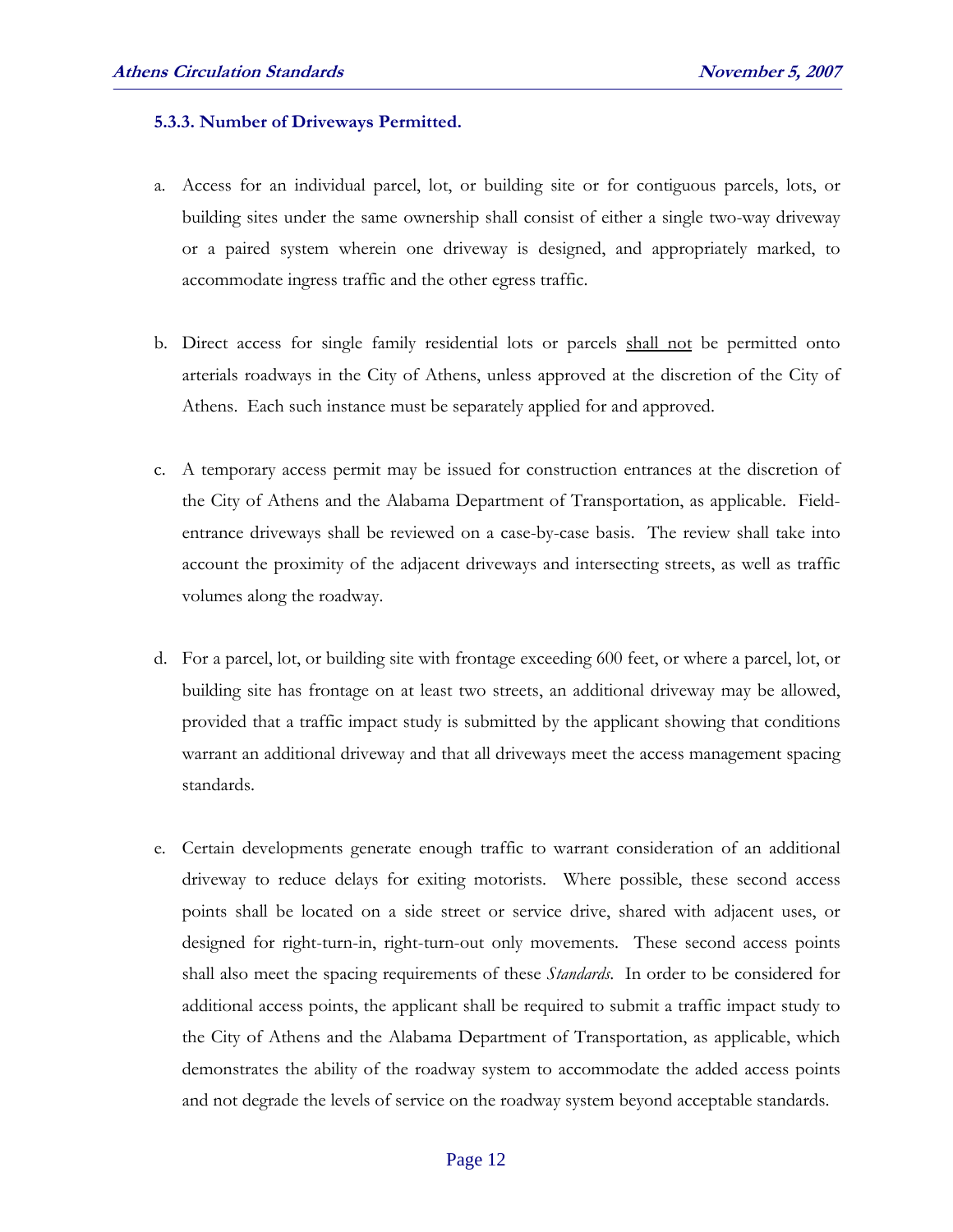#### **5.3.3. Number of Driveways Permitted.**

- a. Access for an individual parcel, lot, or building site or for contiguous parcels, lots, or building sites under the same ownership shall consist of either a single two-way driveway or a paired system wherein one driveway is designed, and appropriately marked, to accommodate ingress traffic and the other egress traffic.
- b. Direct access for single family residential lots or parcels shall not be permitted onto arterials roadways in the City of Athens, unless approved at the discretion of the City of Athens. Each such instance must be separately applied for and approved.
- c. A temporary access permit may be issued for construction entrances at the discretion of the City of Athens and the Alabama Department of Transportation, as applicable. Fieldentrance driveways shall be reviewed on a case-by-case basis. The review shall take into account the proximity of the adjacent driveways and intersecting streets, as well as traffic volumes along the roadway.
- d. For a parcel, lot, or building site with frontage exceeding 600 feet, or where a parcel, lot, or building site has frontage on at least two streets, an additional driveway may be allowed, provided that a traffic impact study is submitted by the applicant showing that conditions warrant an additional driveway and that all driveways meet the access management spacing standards.
- e. Certain developments generate enough traffic to warrant consideration of an additional driveway to reduce delays for exiting motorists. Where possible, these second access points shall be located on a side street or service drive, shared with adjacent uses, or designed for right-turn-in, right-turn-out only movements. These second access points shall also meet the spacing requirements of these *Standards*. In order to be considered for additional access points, the applicant shall be required to submit a traffic impact study to the City of Athens and the Alabama Department of Transportation, as applicable, which demonstrates the ability of the roadway system to accommodate the added access points and not degrade the levels of service on the roadway system beyond acceptable standards.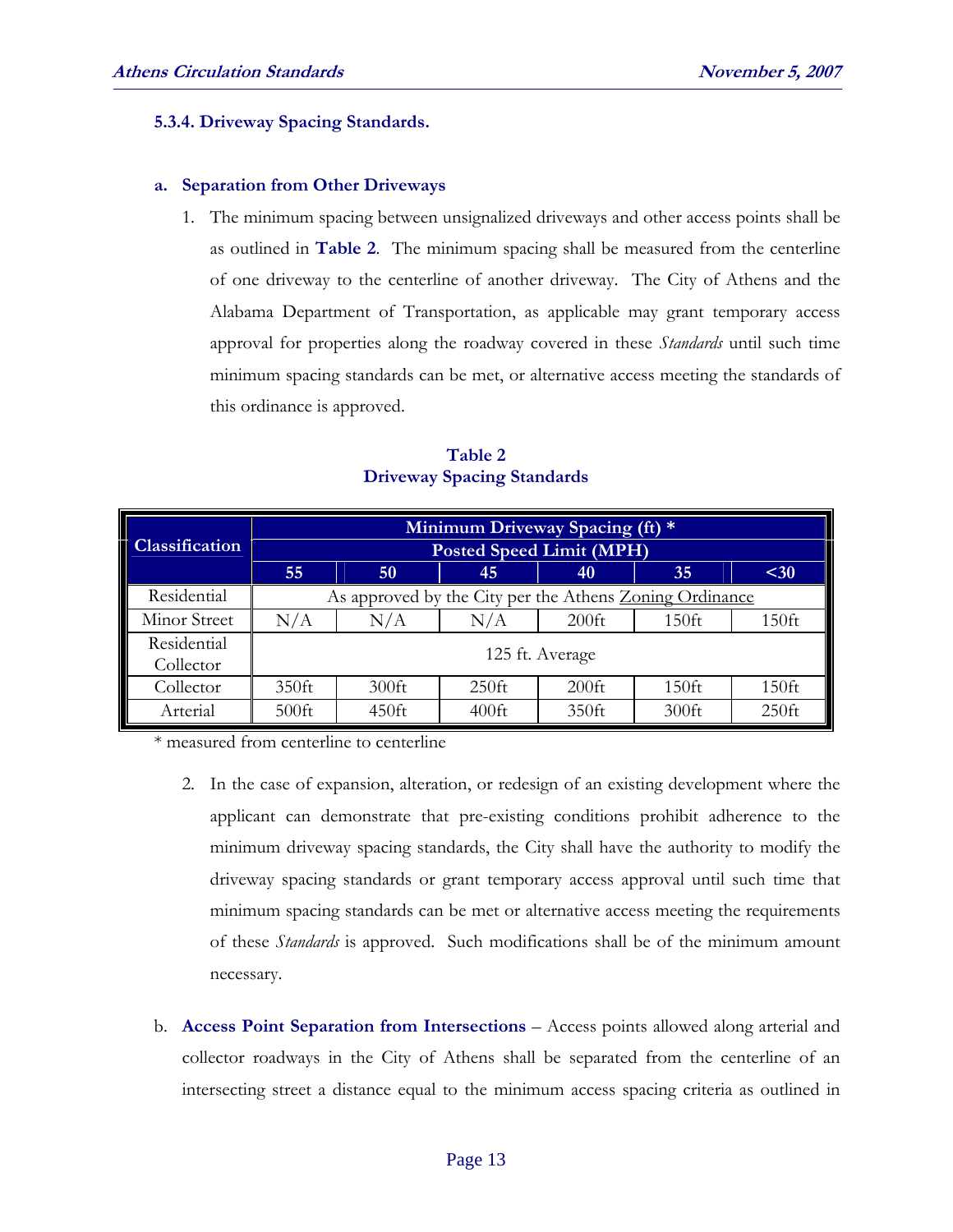#### **5.3.4. Driveway Spacing Standards.**

#### **a. Separation from Other Driveways**

1. The minimum spacing between unsignalized driveways and other access points shall be as outlined in **Table 2**. The minimum spacing shall be measured from the centerline of one driveway to the centerline of another driveway. The City of Athens and the Alabama Department of Transportation, as applicable may grant temporary access approval for properties along the roadway covered in these *Standards* until such time minimum spacing standards can be met, or alternative access meeting the standards of this ordinance is approved.

|                       | Minimum Driveway Spacing (ft) *                         |          |          |          |          |          |  |
|-----------------------|---------------------------------------------------------|----------|----------|----------|----------|----------|--|
| <b>Classification</b> | <b>Posted Speed Limit (MPH)</b>                         |          |          |          |          |          |  |
|                       | 55                                                      | 50       | 45       | 40       | 35       | $30$     |  |
| Residential           | As approved by the City per the Athens Zoning Ordinance |          |          |          |          |          |  |
| Minor Street          | N/A                                                     | N/A      | N/A      | $200$ ft | $150$ ft | $150$ ft |  |
| Residential           | 125 ft. Average                                         |          |          |          |          |          |  |
| Collector             |                                                         |          |          |          |          |          |  |
| Collector             | $350$ ft                                                | $300$ ft | $250$ ft | $200$ ft | $150$ ft | $150$ ft |  |
| Arterial              | $500$ ft                                                | $450$ ft | $400$ ft | 350ft    | $300$ ft | $250$ ft |  |

**Table 2 Driveway Spacing Standards** 

\* measured from centerline to centerline

- 2. In the case of expansion, alteration, or redesign of an existing development where the applicant can demonstrate that pre-existing conditions prohibit adherence to the minimum driveway spacing standards, the City shall have the authority to modify the driveway spacing standards or grant temporary access approval until such time that minimum spacing standards can be met or alternative access meeting the requirements of these *Standards* is approved. Such modifications shall be of the minimum amount necessary.
- b. **Access Point Separation from Intersections** Access points allowed along arterial and collector roadways in the City of Athens shall be separated from the centerline of an intersecting street a distance equal to the minimum access spacing criteria as outlined in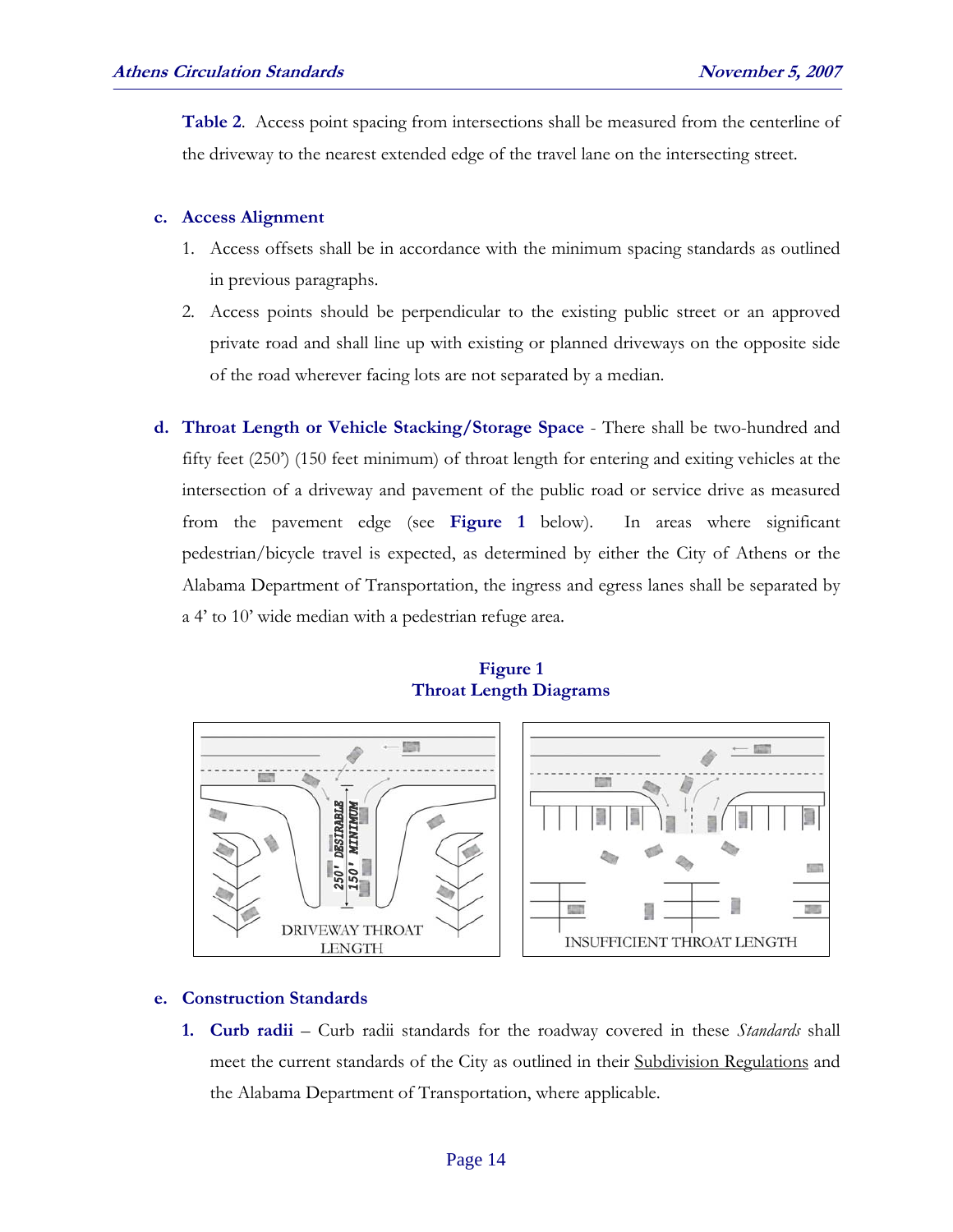**Table 2**. Access point spacing from intersections shall be measured from the centerline of the driveway to the nearest extended edge of the travel lane on the intersecting street.

#### **c. Access Alignment**

- 1. Access offsets shall be in accordance with the minimum spacing standards as outlined in previous paragraphs.
- 2. Access points should be perpendicular to the existing public street or an approved private road and shall line up with existing or planned driveways on the opposite side of the road wherever facing lots are not separated by a median.
- **d. Throat Length or Vehicle Stacking/Storage Space** There shall be two-hundred and fifty feet (250') (150 feet minimum) of throat length for entering and exiting vehicles at the intersection of a driveway and pavement of the public road or service drive as measured from the pavement edge (see **Figure 1** below). In areas where significant pedestrian/bicycle travel is expected, as determined by either the City of Athens or the Alabama Department of Transportation, the ingress and egress lanes shall be separated by a 4' to 10' wide median with a pedestrian refuge area.

#### **Figure 1 Throat Length Diagrams**



#### **e. Construction Standards**

**1. Curb radii** – Curb radii standards for the roadway covered in these *Standards* shall meet the current standards of the City as outlined in their Subdivision Regulations and the Alabama Department of Transportation, where applicable.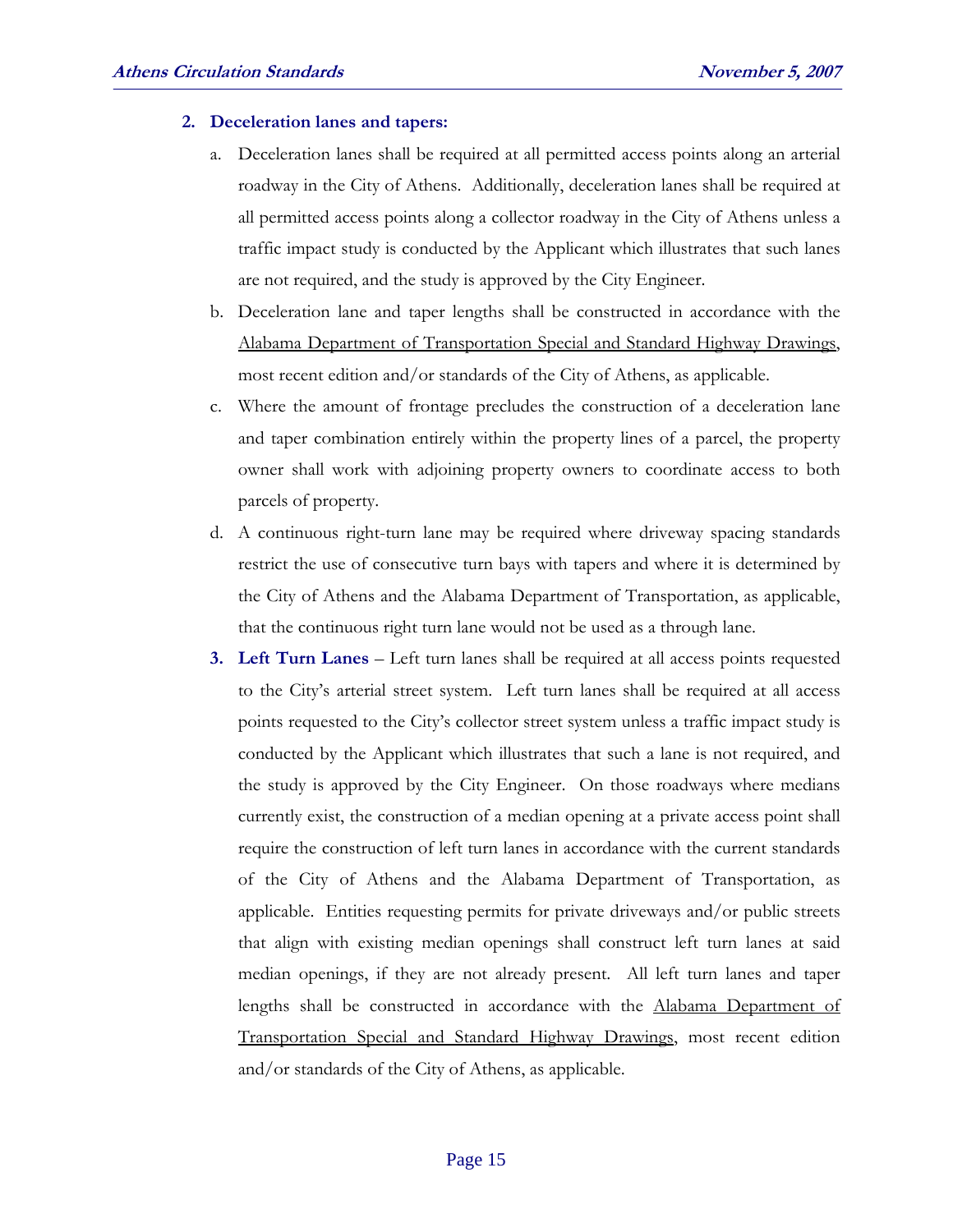#### **2. Deceleration lanes and tapers:**

- a. Deceleration lanes shall be required at all permitted access points along an arterial roadway in the City of Athens. Additionally, deceleration lanes shall be required at all permitted access points along a collector roadway in the City of Athens unless a traffic impact study is conducted by the Applicant which illustrates that such lanes are not required, and the study is approved by the City Engineer.
- b. Deceleration lane and taper lengths shall be constructed in accordance with the Alabama Department of Transportation Special and Standard Highway Drawings, most recent edition and/or standards of the City of Athens, as applicable.
- c. Where the amount of frontage precludes the construction of a deceleration lane and taper combination entirely within the property lines of a parcel, the property owner shall work with adjoining property owners to coordinate access to both parcels of property.
- d. A continuous right-turn lane may be required where driveway spacing standards restrict the use of consecutive turn bays with tapers and where it is determined by the City of Athens and the Alabama Department of Transportation, as applicable, that the continuous right turn lane would not be used as a through lane.
- **3. Left Turn Lanes** Left turn lanes shall be required at all access points requested to the City's arterial street system. Left turn lanes shall be required at all access points requested to the City's collector street system unless a traffic impact study is conducted by the Applicant which illustrates that such a lane is not required, and the study is approved by the City Engineer. On those roadways where medians currently exist, the construction of a median opening at a private access point shall require the construction of left turn lanes in accordance with the current standards of the City of Athens and the Alabama Department of Transportation, as applicable. Entities requesting permits for private driveways and/or public streets that align with existing median openings shall construct left turn lanes at said median openings, if they are not already present. All left turn lanes and taper lengths shall be constructed in accordance with the Alabama Department of Transportation Special and Standard Highway Drawings, most recent edition and/or standards of the City of Athens, as applicable.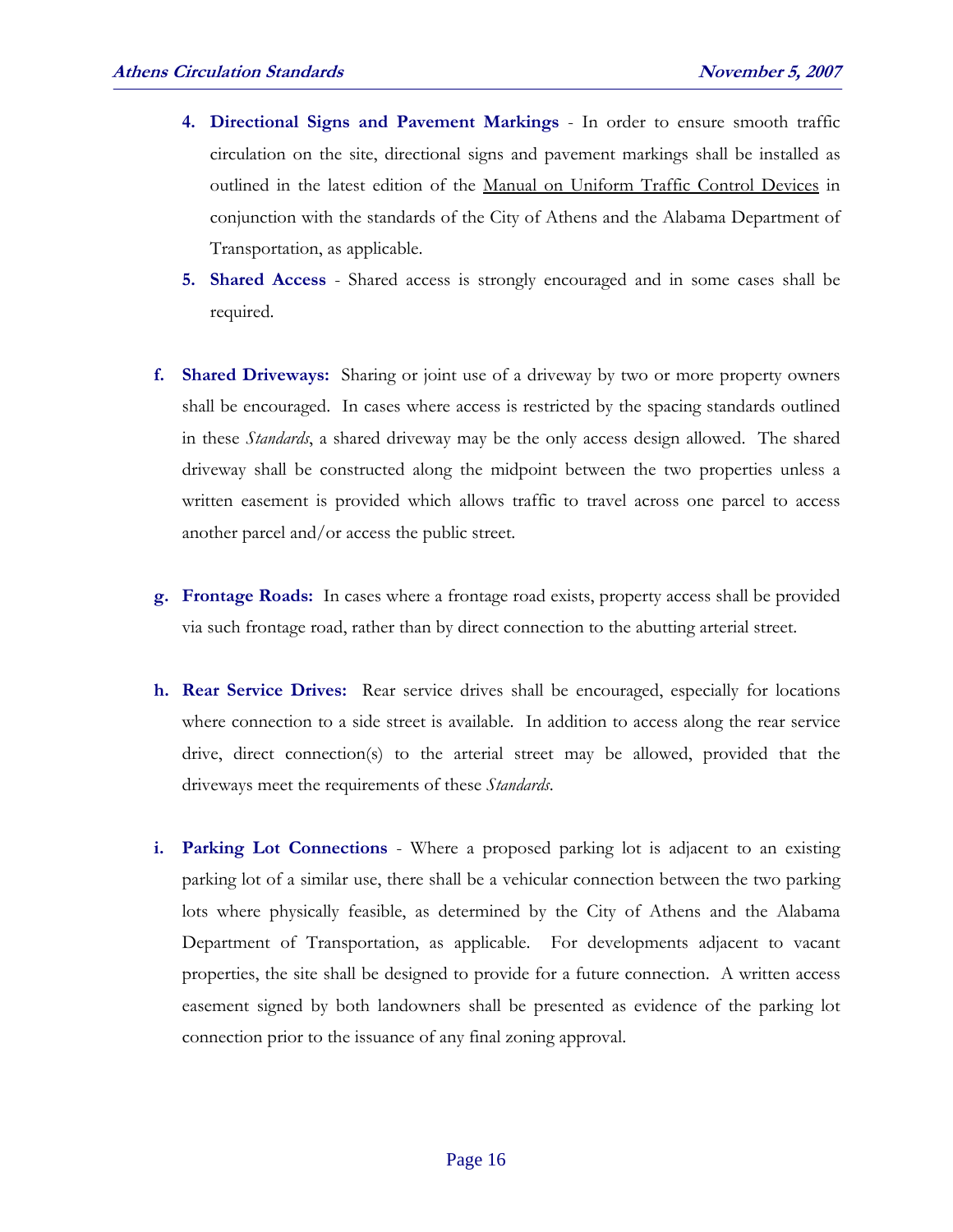- **4. Directional Signs and Pavement Markings** In order to ensure smooth traffic circulation on the site, directional signs and pavement markings shall be installed as outlined in the latest edition of the Manual on Uniform Traffic Control Devices in conjunction with the standards of the City of Athens and the Alabama Department of Transportation, as applicable.
- **5. Shared Access** Shared access is strongly encouraged and in some cases shall be required.
- **f. Shared Driveways:** Sharing or joint use of a driveway by two or more property owners shall be encouraged. In cases where access is restricted by the spacing standards outlined in these *Standards*, a shared driveway may be the only access design allowed. The shared driveway shall be constructed along the midpoint between the two properties unless a written easement is provided which allows traffic to travel across one parcel to access another parcel and/or access the public street.
- **g. Frontage Roads:** In cases where a frontage road exists, property access shall be provided via such frontage road, rather than by direct connection to the abutting arterial street.
- **h. Rear Service Drives:** Rear service drives shall be encouraged, especially for locations where connection to a side street is available. In addition to access along the rear service drive, direct connection(s) to the arterial street may be allowed, provided that the driveways meet the requirements of these *Standards*.
- **i. Parking Lot Connections** Where a proposed parking lot is adjacent to an existing parking lot of a similar use, there shall be a vehicular connection between the two parking lots where physically feasible, as determined by the City of Athens and the Alabama Department of Transportation, as applicable. For developments adjacent to vacant properties, the site shall be designed to provide for a future connection. A written access easement signed by both landowners shall be presented as evidence of the parking lot connection prior to the issuance of any final zoning approval.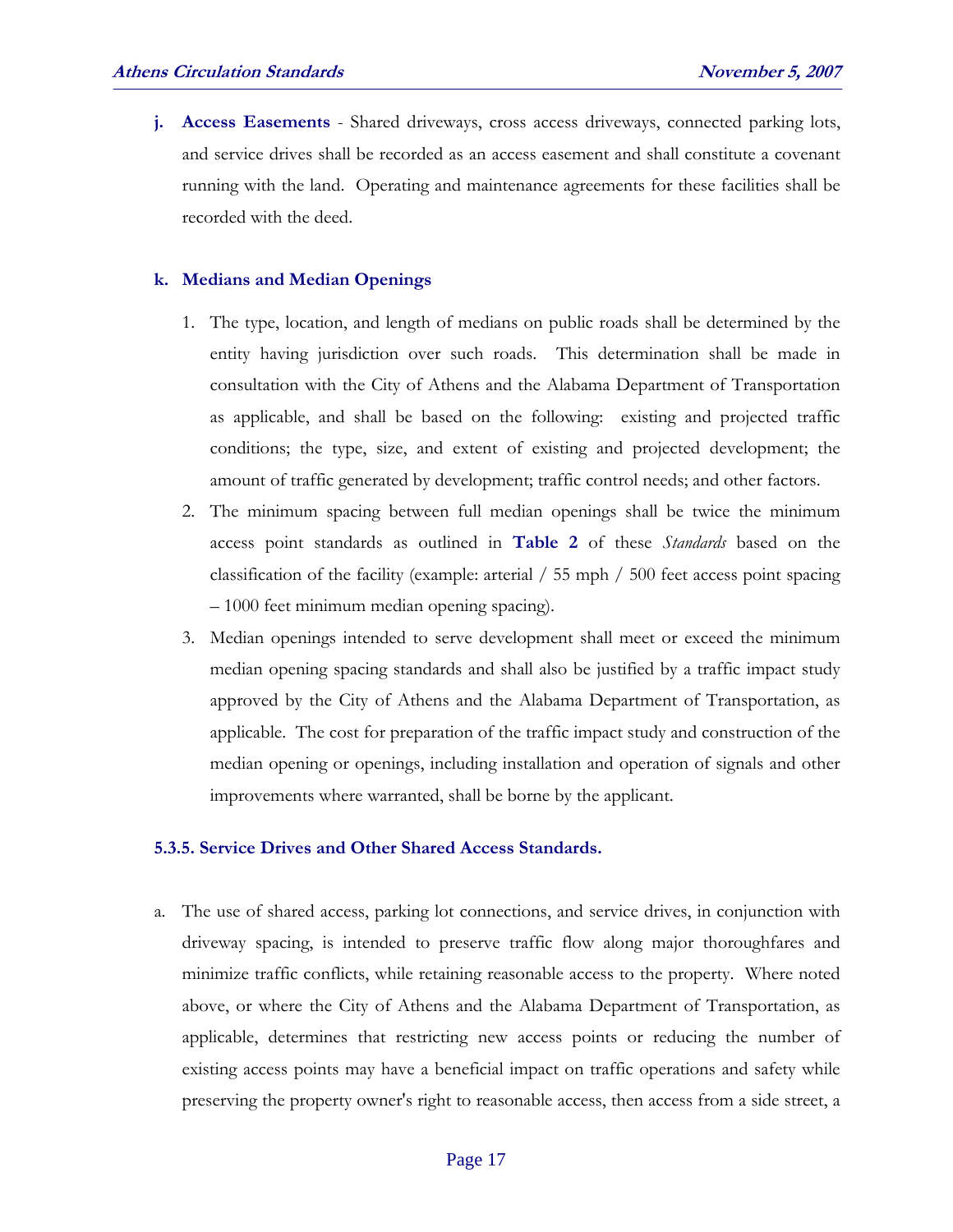**j. Access Easements** - Shared driveways, cross access driveways, connected parking lots, and service drives shall be recorded as an access easement and shall constitute a covenant running with the land. Operating and maintenance agreements for these facilities shall be recorded with the deed.

#### **k. Medians and Median Openings**

- 1. The type, location, and length of medians on public roads shall be determined by the entity having jurisdiction over such roads. This determination shall be made in consultation with the City of Athens and the Alabama Department of Transportation as applicable, and shall be based on the following: existing and projected traffic conditions; the type, size, and extent of existing and projected development; the amount of traffic generated by development; traffic control needs; and other factors.
- 2. The minimum spacing between full median openings shall be twice the minimum access point standards as outlined in **Table 2** of these *Standards* based on the classification of the facility (example: arterial / 55 mph / 500 feet access point spacing – 1000 feet minimum median opening spacing).
- 3. Median openings intended to serve development shall meet or exceed the minimum median opening spacing standards and shall also be justified by a traffic impact study approved by the City of Athens and the Alabama Department of Transportation, as applicable. The cost for preparation of the traffic impact study and construction of the median opening or openings, including installation and operation of signals and other improvements where warranted, shall be borne by the applicant.

#### **5.3.5. Service Drives and Other Shared Access Standards.**

a. The use of shared access, parking lot connections, and service drives, in conjunction with driveway spacing, is intended to preserve traffic flow along major thoroughfares and minimize traffic conflicts, while retaining reasonable access to the property. Where noted above, or where the City of Athens and the Alabama Department of Transportation, as applicable, determines that restricting new access points or reducing the number of existing access points may have a beneficial impact on traffic operations and safety while preserving the property owner's right to reasonable access, then access from a side street, a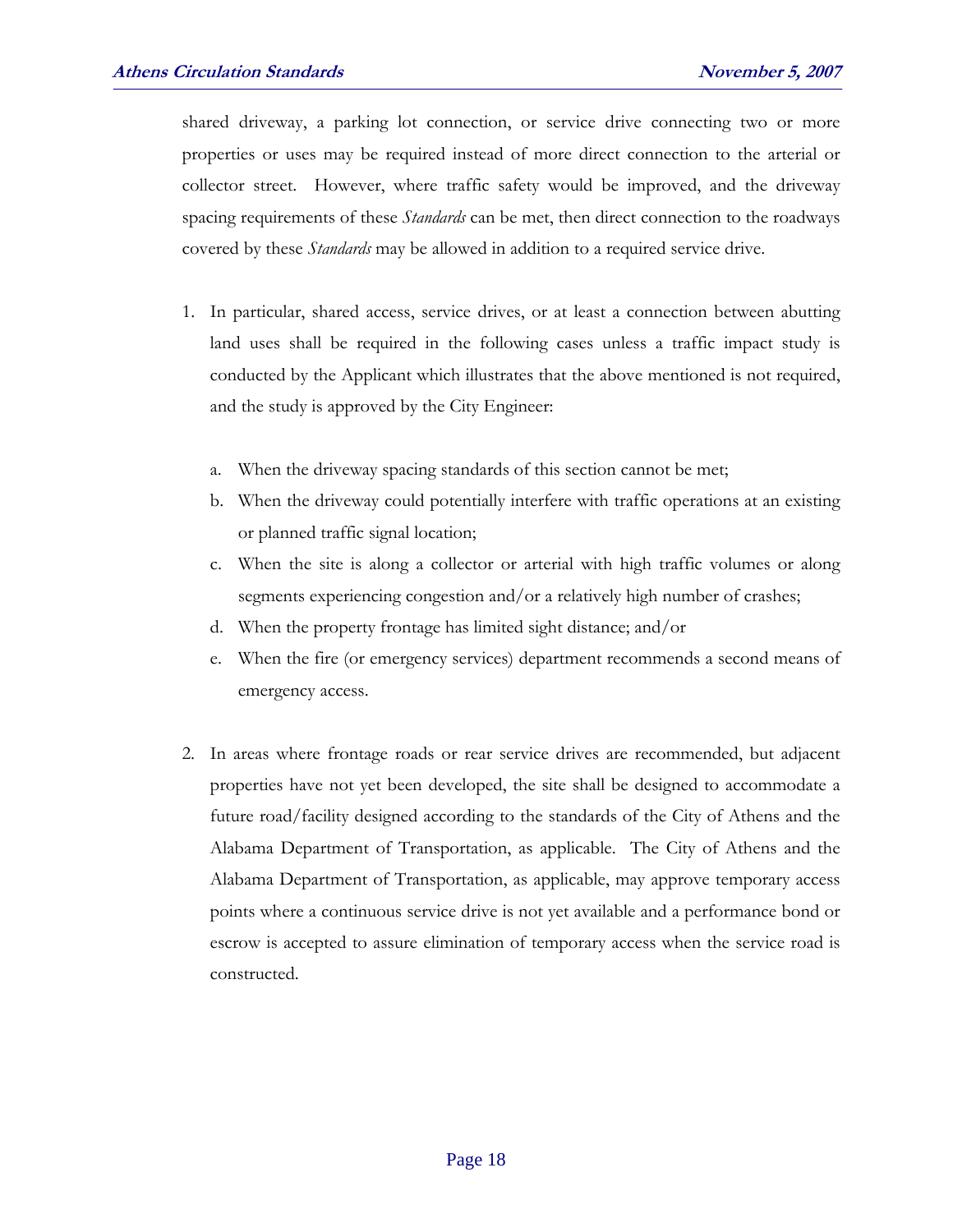shared driveway, a parking lot connection, or service drive connecting two or more properties or uses may be required instead of more direct connection to the arterial or collector street. However, where traffic safety would be improved, and the driveway spacing requirements of these *Standards* can be met, then direct connection to the roadways covered by these *Standards* may be allowed in addition to a required service drive.

- 1. In particular, shared access, service drives, or at least a connection between abutting land uses shall be required in the following cases unless a traffic impact study is conducted by the Applicant which illustrates that the above mentioned is not required, and the study is approved by the City Engineer:
	- a. When the driveway spacing standards of this section cannot be met;
	- b. When the driveway could potentially interfere with traffic operations at an existing or planned traffic signal location;
	- c. When the site is along a collector or arterial with high traffic volumes or along segments experiencing congestion and/or a relatively high number of crashes;
	- d. When the property frontage has limited sight distance; and/or
	- e. When the fire (or emergency services) department recommends a second means of emergency access.
- 2. In areas where frontage roads or rear service drives are recommended, but adjacent properties have not yet been developed, the site shall be designed to accommodate a future road/facility designed according to the standards of the City of Athens and the Alabama Department of Transportation, as applicable. The City of Athens and the Alabama Department of Transportation, as applicable, may approve temporary access points where a continuous service drive is not yet available and a performance bond or escrow is accepted to assure elimination of temporary access when the service road is constructed.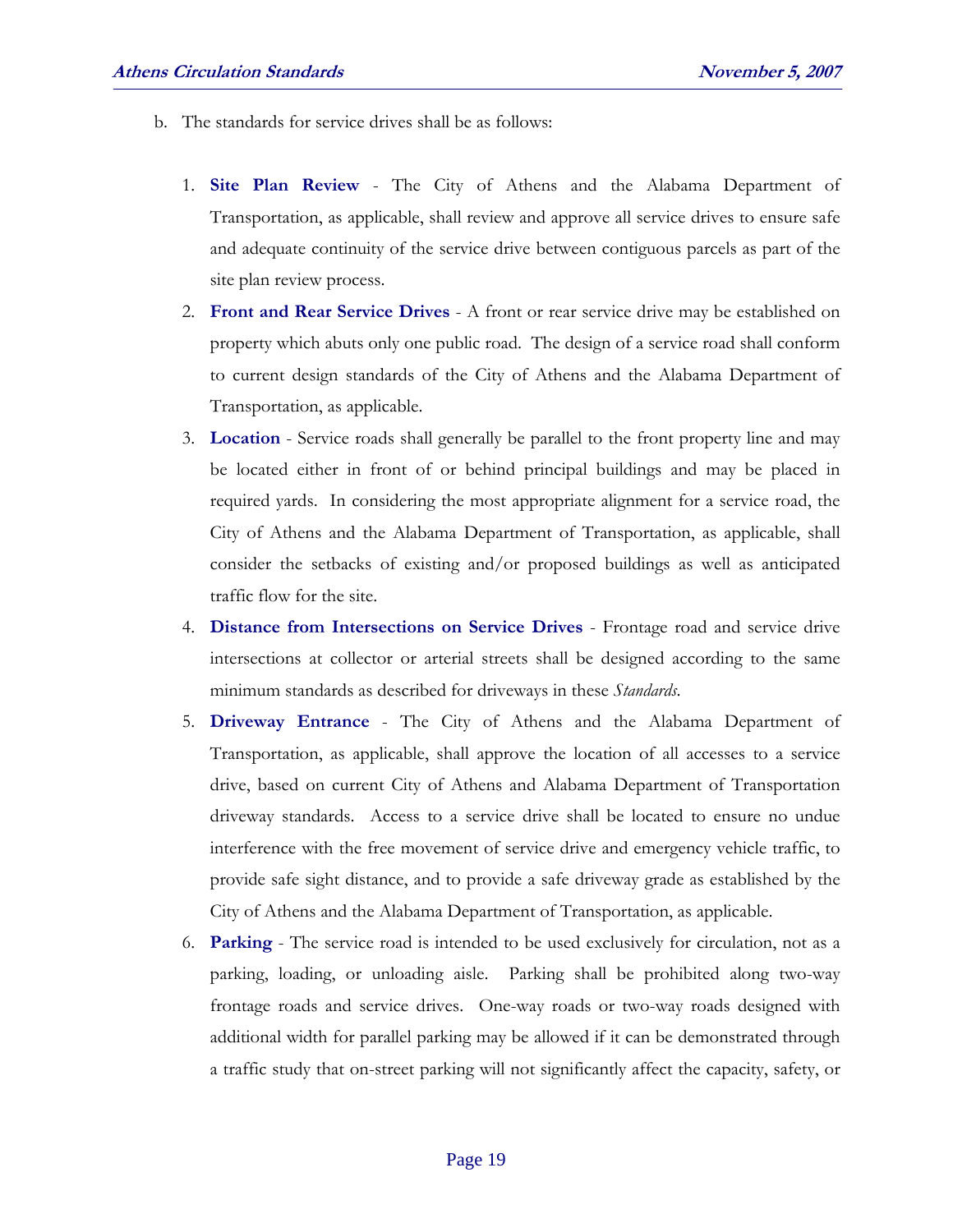- b. The standards for service drives shall be as follows:
	- 1. **Site Plan Review** The City of Athens and the Alabama Department of Transportation, as applicable, shall review and approve all service drives to ensure safe and adequate continuity of the service drive between contiguous parcels as part of the site plan review process.
	- 2. **Front and Rear Service Drives** A front or rear service drive may be established on property which abuts only one public road. The design of a service road shall conform to current design standards of the City of Athens and the Alabama Department of Transportation, as applicable.
	- 3. **Location** Service roads shall generally be parallel to the front property line and may be located either in front of or behind principal buildings and may be placed in required yards. In considering the most appropriate alignment for a service road, the City of Athens and the Alabama Department of Transportation, as applicable, shall consider the setbacks of existing and/or proposed buildings as well as anticipated traffic flow for the site.
	- 4. **Distance from Intersections on Service Drives** Frontage road and service drive intersections at collector or arterial streets shall be designed according to the same minimum standards as described for driveways in these *Standards*.
	- 5. **Driveway Entrance** The City of Athens and the Alabama Department of Transportation, as applicable, shall approve the location of all accesses to a service drive, based on current City of Athens and Alabama Department of Transportation driveway standards. Access to a service drive shall be located to ensure no undue interference with the free movement of service drive and emergency vehicle traffic, to provide safe sight distance, and to provide a safe driveway grade as established by the City of Athens and the Alabama Department of Transportation, as applicable.
	- 6. **Parking** The service road is intended to be used exclusively for circulation, not as a parking, loading, or unloading aisle. Parking shall be prohibited along two-way frontage roads and service drives. One-way roads or two-way roads designed with additional width for parallel parking may be allowed if it can be demonstrated through a traffic study that on-street parking will not significantly affect the capacity, safety, or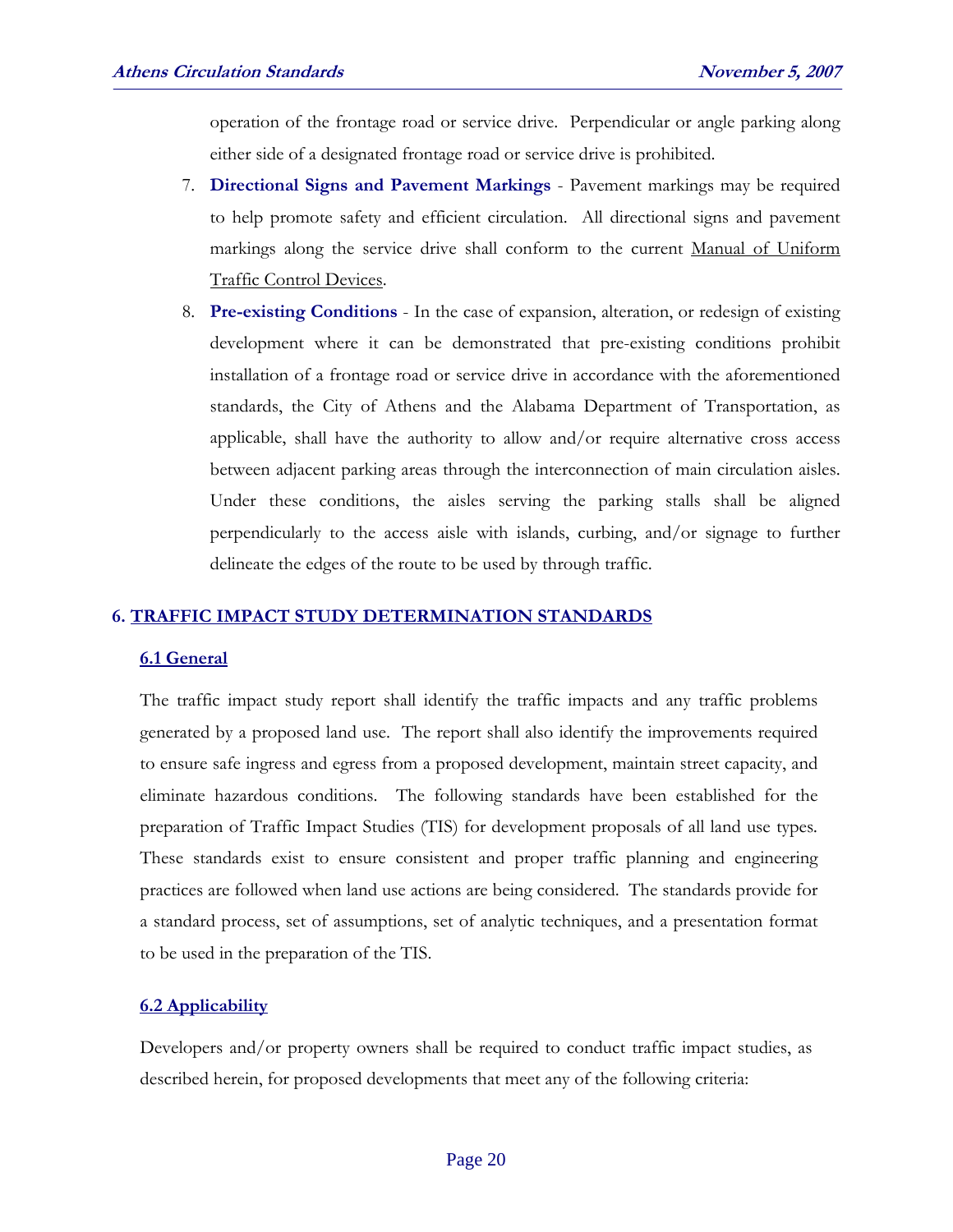operation of the frontage road or service drive. Perpendicular or angle parking along either side of a designated frontage road or service drive is prohibited.

- 7. **Directional Signs and Pavement Markings** Pavement markings may be required to help promote safety and efficient circulation. All directional signs and pavement markings along the service drive shall conform to the current Manual of Uniform Traffic Control Devices.
- 8. **Pre-existing Conditions** In the case of expansion, alteration, or redesign of existing development where it can be demonstrated that pre-existing conditions prohibit installation of a frontage road or service drive in accordance with the aforementioned standards, the City of Athens and the Alabama Department of Transportation, as applicable, shall have the authority to allow and/or require alternative cross access between adjacent parking areas through the interconnection of main circulation aisles. Under these conditions, the aisles serving the parking stalls shall be aligned perpendicularly to the access aisle with islands, curbing, and/or signage to further delineate the edges of the route to be used by through traffic.

#### **6. TRAFFIC IMPACT STUDY DETERMINATION STANDARDS**

#### **6.1 General**

The traffic impact study report shall identify the traffic impacts and any traffic problems generated by a proposed land use. The report shall also identify the improvements required to ensure safe ingress and egress from a proposed development, maintain street capacity, and eliminate hazardous conditions. The following standards have been established for the preparation of Traffic Impact Studies (TIS) for development proposals of all land use types*.* These standards exist to ensure consistent and proper traffic planning and engineering practices are followed when land use actions are being considered. The standards provide for a standard process, set of assumptions, set of analytic techniques, and a presentation format to be used in the preparation of the TIS.

#### **6.2 Applicability**

Developers and/or property owners shall be required to conduct traffic impact studies, as described herein, for proposed developments that meet any of the following criteria: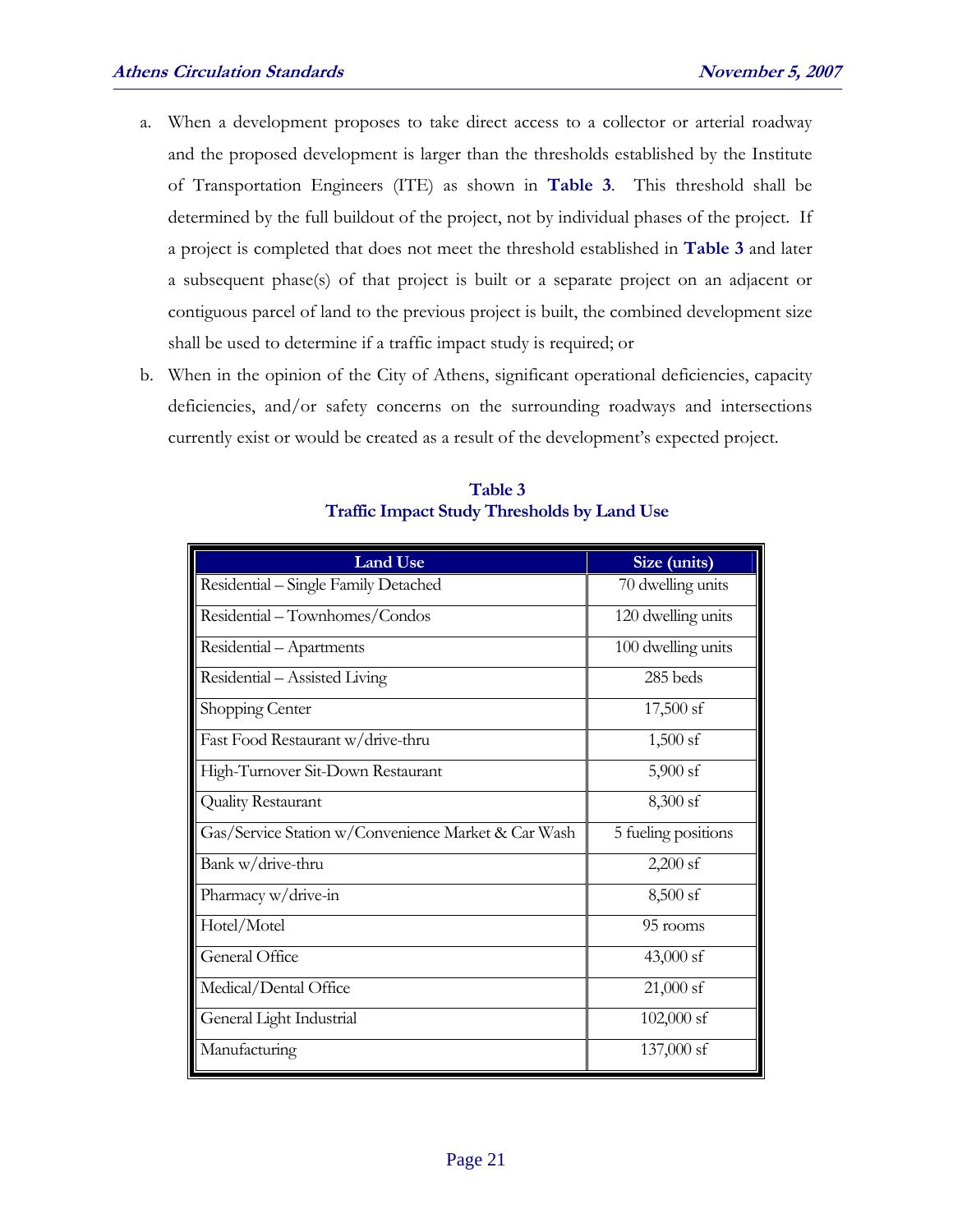- a. When a development proposes to take direct access to a collector or arterial roadway and the proposed development is larger than the thresholds established by the Institute of Transportation Engineers (ITE) as shown in **Table 3**. This threshold shall be determined by the full buildout of the project, not by individual phases of the project. If a project is completed that does not meet the threshold established in **Table 3** and later a subsequent phase(s) of that project is built or a separate project on an adjacent or contiguous parcel of land to the previous project is built, the combined development size shall be used to determine if a traffic impact study is required; or
- b. When in the opinion of the City of Athens, significant operational deficiencies, capacity deficiencies, and/or safety concerns on the surrounding roadways and intersections currently exist or would be created as a result of the development's expected project.

| <b>Land Use</b>                                     | Size (units)        |  |  |
|-----------------------------------------------------|---------------------|--|--|
| Residential - Single Family Detached                | 70 dwelling units   |  |  |
| Residential - Townhomes/Condos                      | 120 dwelling units  |  |  |
| Residential - Apartments                            | 100 dwelling units  |  |  |
| Residential - Assisted Living                       | 285 beds            |  |  |
| Shopping Center                                     | $17,500$ sf         |  |  |
| Fast Food Restaurant w/drive-thru                   | $1,500$ sf          |  |  |
| High-Turnover Sit-Down Restaurant                   | $5,900$ sf          |  |  |
| Quality Restaurant                                  | 8,300 sf            |  |  |
| Gas/Service Station w/Convenience Market & Car Wash | 5 fueling positions |  |  |
| Bank w/drive-thru                                   | $2,200$ sf          |  |  |
| Pharmacy w/drive-in                                 | $8,500$ sf          |  |  |
| Hotel/Motel                                         | 95 rooms            |  |  |
| General Office                                      | 43,000 sf           |  |  |
| Medical/Dental Office                               | $21,000$ sf         |  |  |
| General Light Industrial                            | 102,000 sf          |  |  |
| Manufacturing                                       | 137,000 sf          |  |  |

**Table 3 Traffic Impact Study Thresholds by Land Use**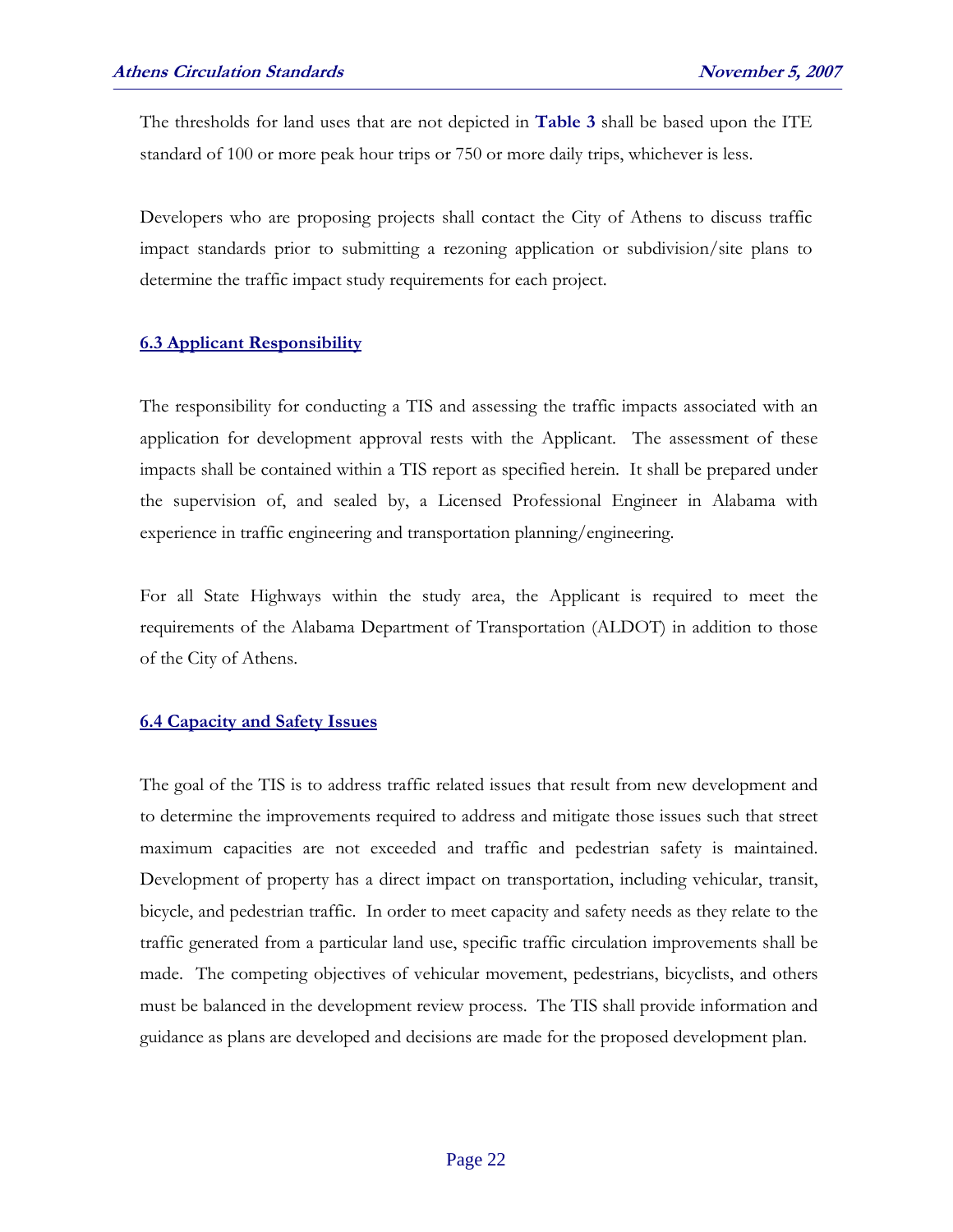The thresholds for land uses that are not depicted in **Table 3** shall be based upon the ITE standard of 100 or more peak hour trips or 750 or more daily trips, whichever is less.

Developers who are proposing projects shall contact the City of Athens to discuss traffic impact standards prior to submitting a rezoning application or subdivision/site plans to determine the traffic impact study requirements for each project.

#### **6.3 Applicant Responsibility**

The responsibility for conducting a TIS and assessing the traffic impacts associated with an application for development approval rests with the Applicant. The assessment of these impacts shall be contained within a TIS report as specified herein. It shall be prepared under the supervision of, and sealed by, a Licensed Professional Engineer in Alabama with experience in traffic engineering and transportation planning/engineering.

For all State Highways within the study area, the Applicant is required to meet the requirements of the Alabama Department of Transportation (ALDOT) in addition to those of the City of Athens.

#### **6.4 Capacity and Safety Issues**

The goal of the TIS is to address traffic related issues that result from new development and to determine the improvements required to address and mitigate those issues such that street maximum capacities are not exceeded and traffic and pedestrian safety is maintained. Development of property has a direct impact on transportation, including vehicular, transit, bicycle, and pedestrian traffic. In order to meet capacity and safety needs as they relate to the traffic generated from a particular land use, specific traffic circulation improvements shall be made. The competing objectives of vehicular movement, pedestrians, bicyclists, and others must be balanced in the development review process. The TIS shall provide information and guidance as plans are developed and decisions are made for the proposed development plan.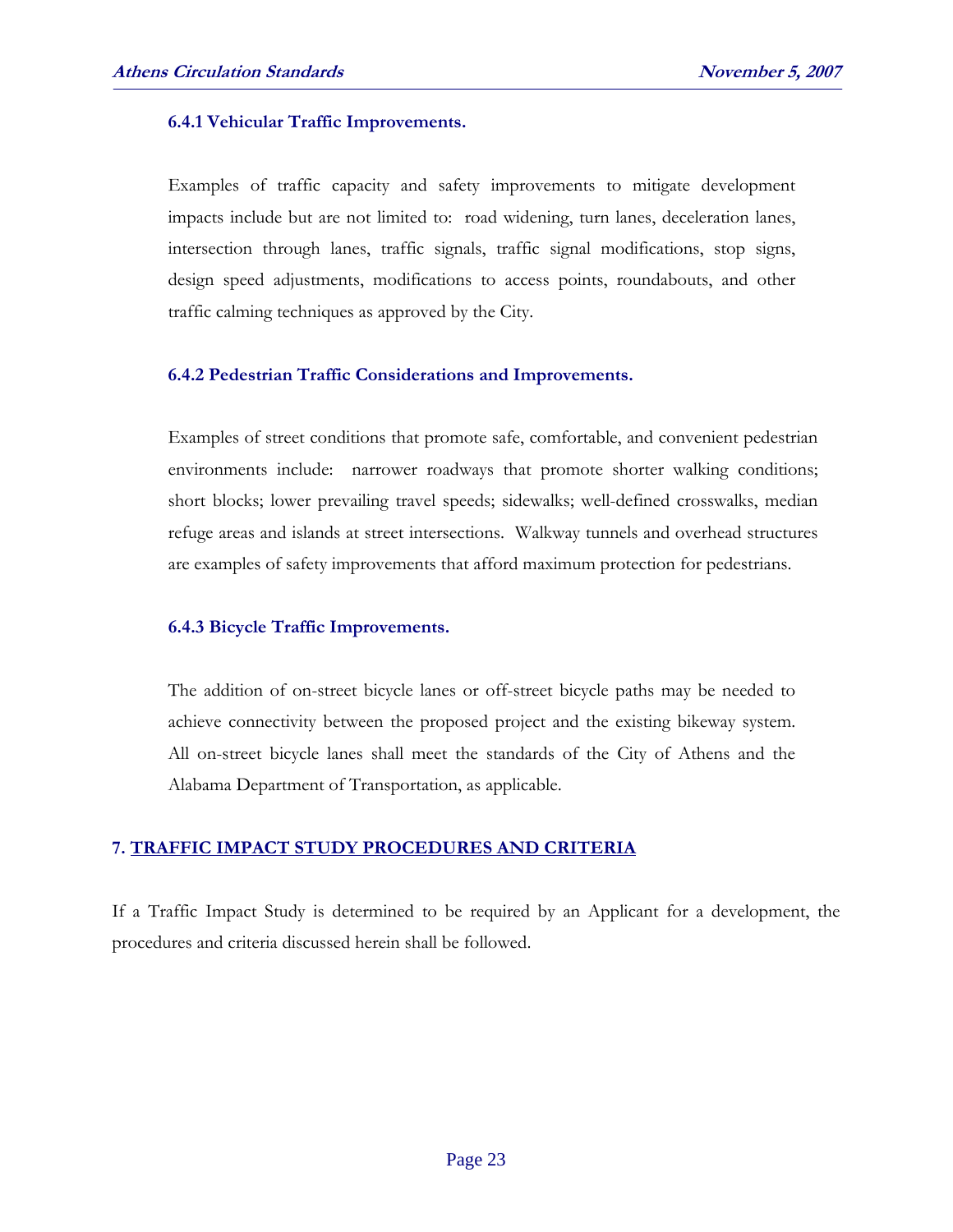#### **6.4.1 Vehicular Traffic Improvements.**

Examples of traffic capacity and safety improvements to mitigate development impacts include but are not limited to: road widening, turn lanes, deceleration lanes, intersection through lanes, traffic signals, traffic signal modifications, stop signs, design speed adjustments, modifications to access points, roundabouts, and other traffic calming techniques as approved by the City.

#### **6.4.2 Pedestrian Traffic Considerations and Improvements.**

Examples of street conditions that promote safe, comfortable, and convenient pedestrian environments include: narrower roadways that promote shorter walking conditions; short blocks; lower prevailing travel speeds; sidewalks; well-defined crosswalks, median refuge areas and islands at street intersections. Walkway tunnels and overhead structures are examples of safety improvements that afford maximum protection for pedestrians.

#### **6.4.3 Bicycle Traffic Improvements.**

The addition of on-street bicycle lanes or off-street bicycle paths may be needed to achieve connectivity between the proposed project and the existing bikeway system. All on-street bicycle lanes shall meet the standards of the City of Athens and the Alabama Department of Transportation, as applicable.

#### **7. TRAFFIC IMPACT STUDY PROCEDURES AND CRITERIA**

If a Traffic Impact Study is determined to be required by an Applicant for a development, the procedures and criteria discussed herein shall be followed.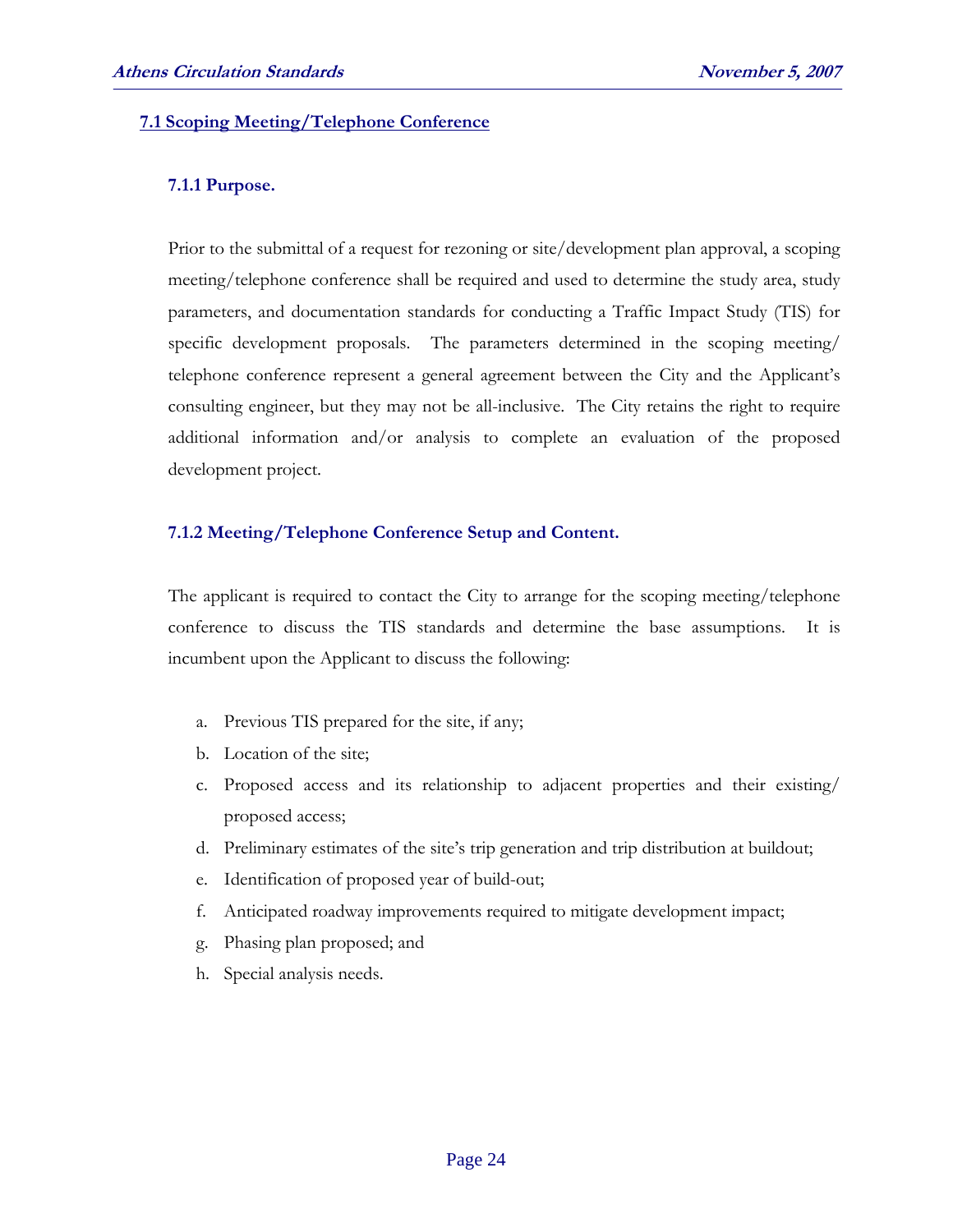#### **7.1 Scoping Meeting/Telephone Conference**

#### **7.1.1 Purpose.**

 Prior to the submittal of a request for rezoning or site/development plan approval, a scoping meeting/telephone conference shall be required and used to determine the study area, study parameters, and documentation standards for conducting a Traffic Impact Study (TIS) for specific development proposals. The parameters determined in the scoping meeting/ telephone conference represent a general agreement between the City and the Applicant's consulting engineer, but they may not be all-inclusive. The City retains the right to require additional information and/or analysis to complete an evaluation of the proposed development project.

#### **7.1.2 Meeting/Telephone Conference Setup and Content.**

 The applicant is required to contact the City to arrange for the scoping meeting/telephone conference to discuss the TIS standards and determine the base assumptions. It is incumbent upon the Applicant to discuss the following:

- a. Previous TIS prepared for the site, if any;
- b. Location of the site;
- c. Proposed access and its relationship to adjacent properties and their existing/ proposed access;
- d. Preliminary estimates of the site's trip generation and trip distribution at buildout;
- e. Identification of proposed year of build-out;
- f. Anticipated roadway improvements required to mitigate development impact;
- g. Phasing plan proposed; and
- h. Special analysis needs.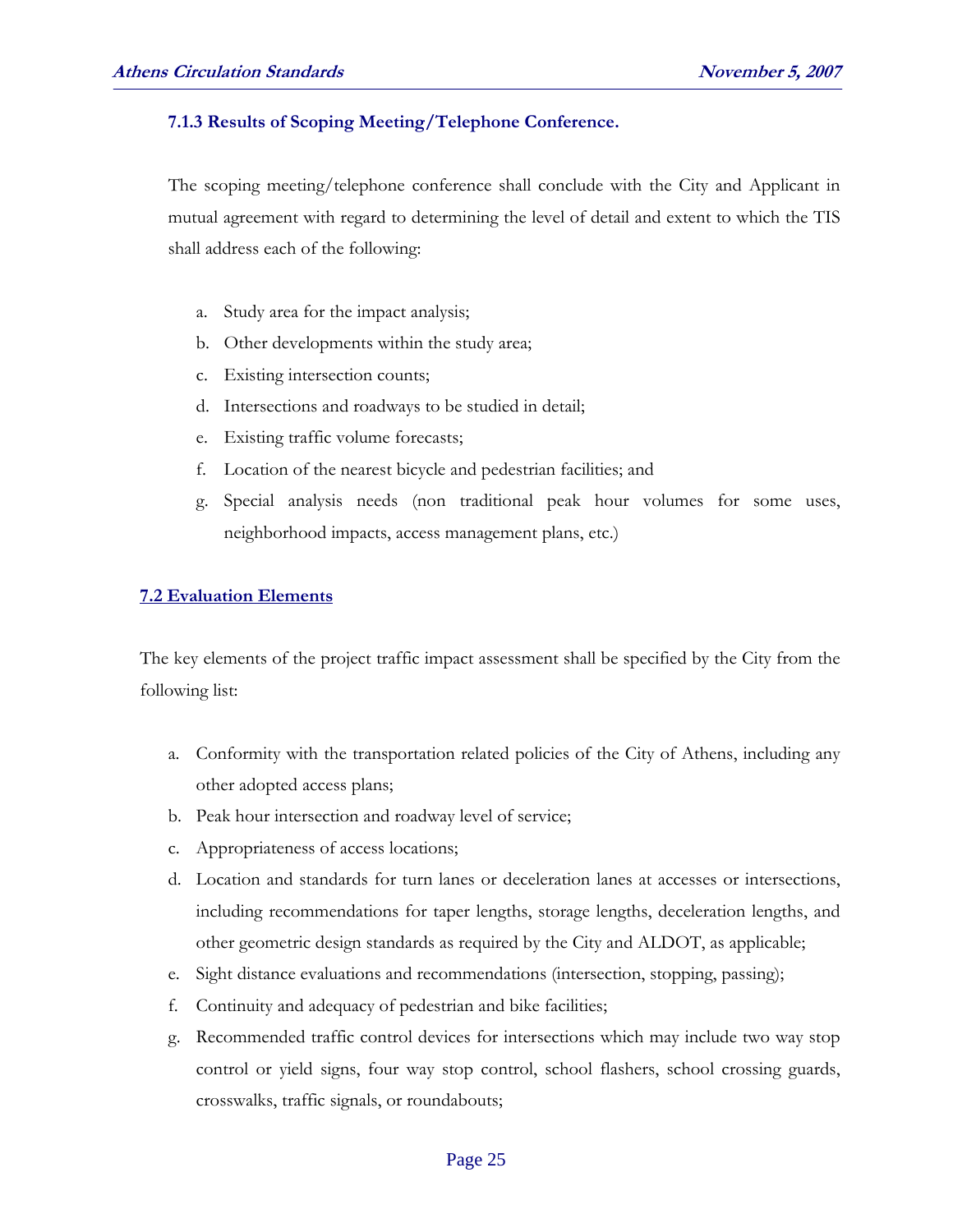#### **7.1.3 Results of Scoping Meeting/Telephone Conference.**

 The scoping meeting/telephone conference shall conclude with the City and Applicant in mutual agreement with regard to determining the level of detail and extent to which the TIS shall address each of the following:

- a. Study area for the impact analysis;
- b. Other developments within the study area;
- c. Existing intersection counts;
- d. Intersections and roadways to be studied in detail;
- e. Existing traffic volume forecasts;
- f. Location of the nearest bicycle and pedestrian facilities; and
- g. Special analysis needs (non traditional peak hour volumes for some uses, neighborhood impacts, access management plans, etc.)

#### **7.2 Evaluation Elements**

The key elements of the project traffic impact assessment shall be specified by the City from the following list:

- a. Conformity with the transportation related policies of the City of Athens, including any other adopted access plans;
- b. Peak hour intersection and roadway level of service;
- c. Appropriateness of access locations;
- d. Location and standards for turn lanes or deceleration lanes at accesses or intersections, including recommendations for taper lengths, storage lengths, deceleration lengths, and other geometric design standards as required by the City and ALDOT, as applicable;
- e. Sight distance evaluations and recommendations (intersection, stopping, passing);
- f. Continuity and adequacy of pedestrian and bike facilities;
- g. Recommended traffic control devices for intersections which may include two way stop control or yield signs, four way stop control, school flashers, school crossing guards, crosswalks, traffic signals, or roundabouts;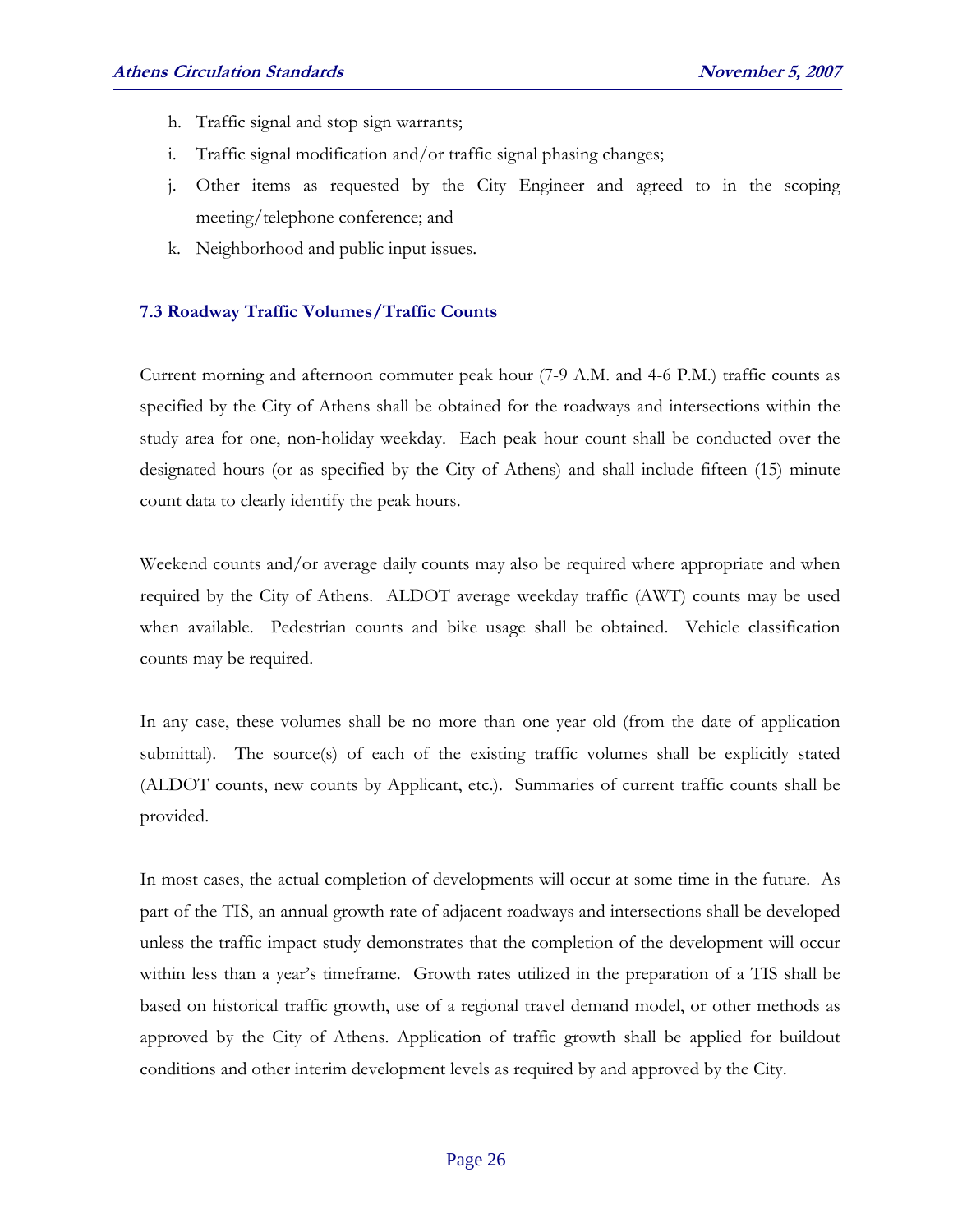- h. Traffic signal and stop sign warrants;
- i. Traffic signal modification and/or traffic signal phasing changes;
- j. Other items as requested by the City Engineer and agreed to in the scoping meeting/telephone conference; and
- k. Neighborhood and public input issues.

#### **7.3 Roadway Traffic Volumes/Traffic Counts**

Current morning and afternoon commuter peak hour (7-9 A.M. and 4-6 P.M.) traffic counts as specified by the City of Athens shall be obtained for the roadways and intersections within the study area for one, non-holiday weekday. Each peak hour count shall be conducted over the designated hours (or as specified by the City of Athens) and shall include fifteen (15) minute count data to clearly identify the peak hours.

Weekend counts and/or average daily counts may also be required where appropriate and when required by the City of Athens. ALDOT average weekday traffic (AWT) counts may be used when available. Pedestrian counts and bike usage shall be obtained. Vehicle classification counts may be required.

In any case, these volumes shall be no more than one year old (from the date of application submittal). The source(s) of each of the existing traffic volumes shall be explicitly stated (ALDOT counts, new counts by Applicant, etc.). Summaries of current traffic counts shall be provided.

In most cases, the actual completion of developments will occur at some time in the future. As part of the TIS, an annual growth rate of adjacent roadways and intersections shall be developed unless the traffic impact study demonstrates that the completion of the development will occur within less than a year's timeframe. Growth rates utilized in the preparation of a TIS shall be based on historical traffic growth, use of a regional travel demand model, or other methods as approved by the City of Athens. Application of traffic growth shall be applied for buildout conditions and other interim development levels as required by and approved by the City.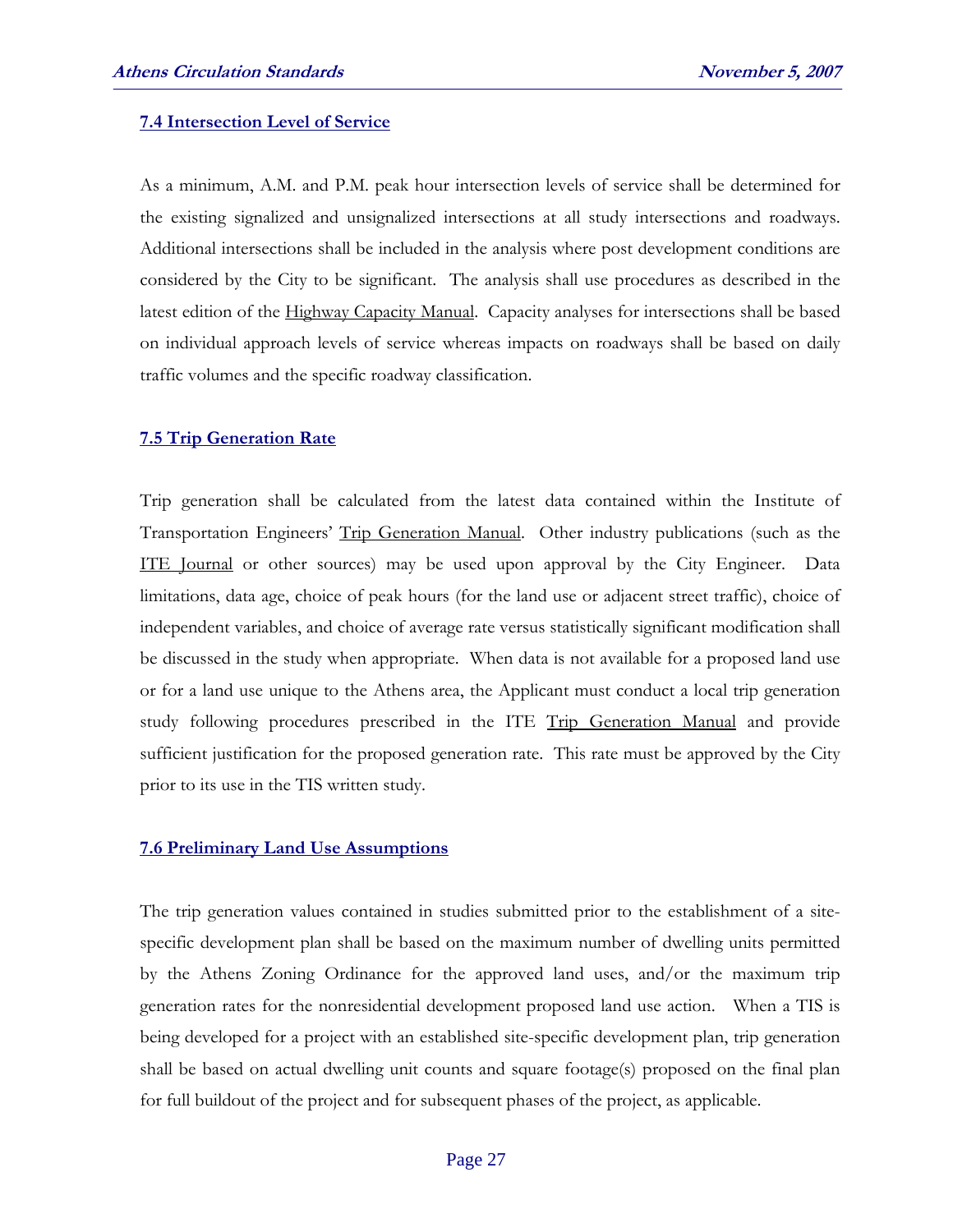#### **7.4 Intersection Level of Service**

 As a minimum, A.M. and P.M. peak hour intersection levels of service shall be determined for the existing signalized and unsignalized intersections at all study intersections and roadways. Additional intersections shall be included in the analysis where post development conditions are considered by the City to be significant. The analysis shall use procedures as described in the latest edition of the Highway Capacity Manual. Capacity analyses for intersections shall be based on individual approach levels of service whereas impacts on roadways shall be based on daily traffic volumes and the specific roadway classification.

#### **7.5 Trip Generation Rate**

 Trip generation shall be calculated from the latest data contained within the Institute of Transportation Engineers' Trip Generation Manual. Other industry publications (such as the ITE Journal or other sources) may be used upon approval by the City Engineer. Data limitations, data age, choice of peak hours (for the land use or adjacent street traffic), choice of independent variables, and choice of average rate versus statistically significant modification shall be discussed in the study when appropriate. When data is not available for a proposed land use or for a land use unique to the Athens area, the Applicant must conduct a local trip generation study following procedures prescribed in the ITE Trip Generation Manual and provide sufficient justification for the proposed generation rate. This rate must be approved by the City prior to its use in the TIS written study.

#### **7.6 Preliminary Land Use Assumptions**

The trip generation values contained in studies submitted prior to the establishment of a sitespecific development plan shall be based on the maximum number of dwelling units permitted by the Athens Zoning Ordinance for the approved land uses, and/or the maximum trip generation rates for the nonresidential development proposed land use action. When a TIS is being developed for a project with an established site-specific development plan, trip generation shall be based on actual dwelling unit counts and square footage(s) proposed on the final plan for full buildout of the project and for subsequent phases of the project, as applicable.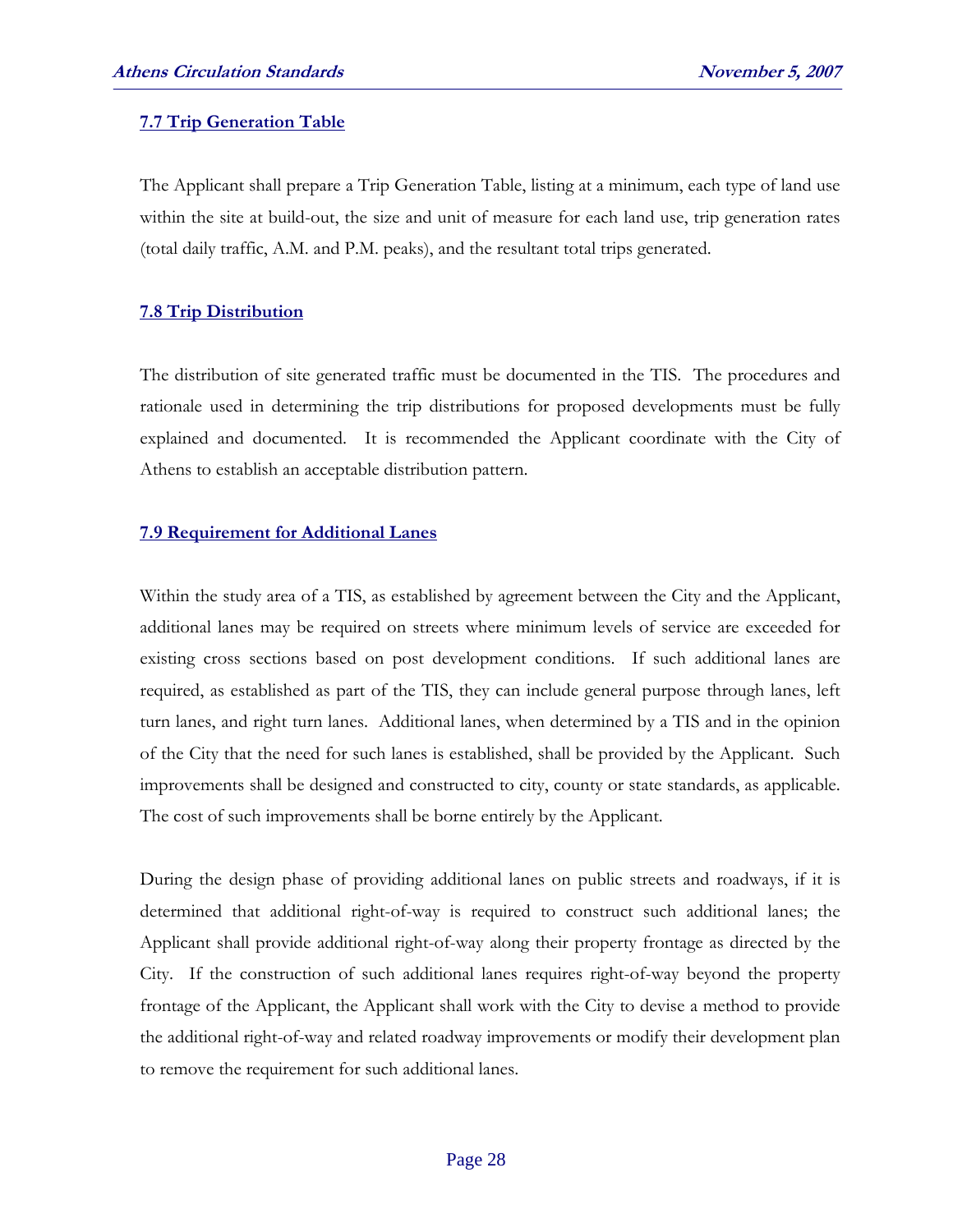#### **7.7 Trip Generation Table**

The Applicant shall prepare a Trip Generation Table, listing at a minimum, each type of land use within the site at build-out, the size and unit of measure for each land use, trip generation rates (total daily traffic, A.M. and P.M. peaks), and the resultant total trips generated.

#### **7.8 Trip Distribution**

 The distribution of site generated traffic must be documented in the TIS. The procedures and rationale used in determining the trip distributions for proposed developments must be fully explained and documented. It is recommended the Applicant coordinate with the City of Athens to establish an acceptable distribution pattern.

#### **7.9 Requirement for Additional Lanes**

 Within the study area of a TIS, as established by agreement between the City and the Applicant, additional lanes may be required on streets where minimum levels of service are exceeded for existing cross sections based on post development conditions. If such additional lanes are required, as established as part of the TIS, they can include general purpose through lanes, left turn lanes, and right turn lanes. Additional lanes, when determined by a TIS and in the opinion of the City that the need for such lanes is established, shall be provided by the Applicant. Such improvements shall be designed and constructed to city, county or state standards, as applicable. The cost of such improvements shall be borne entirely by the Applicant.

 During the design phase of providing additional lanes on public streets and roadways, if it is determined that additional right-of-way is required to construct such additional lanes; the Applicant shall provide additional right-of-way along their property frontage as directed by the City. If the construction of such additional lanes requires right-of-way beyond the property frontage of the Applicant, the Applicant shall work with the City to devise a method to provide the additional right-of-way and related roadway improvements or modify their development plan to remove the requirement for such additional lanes.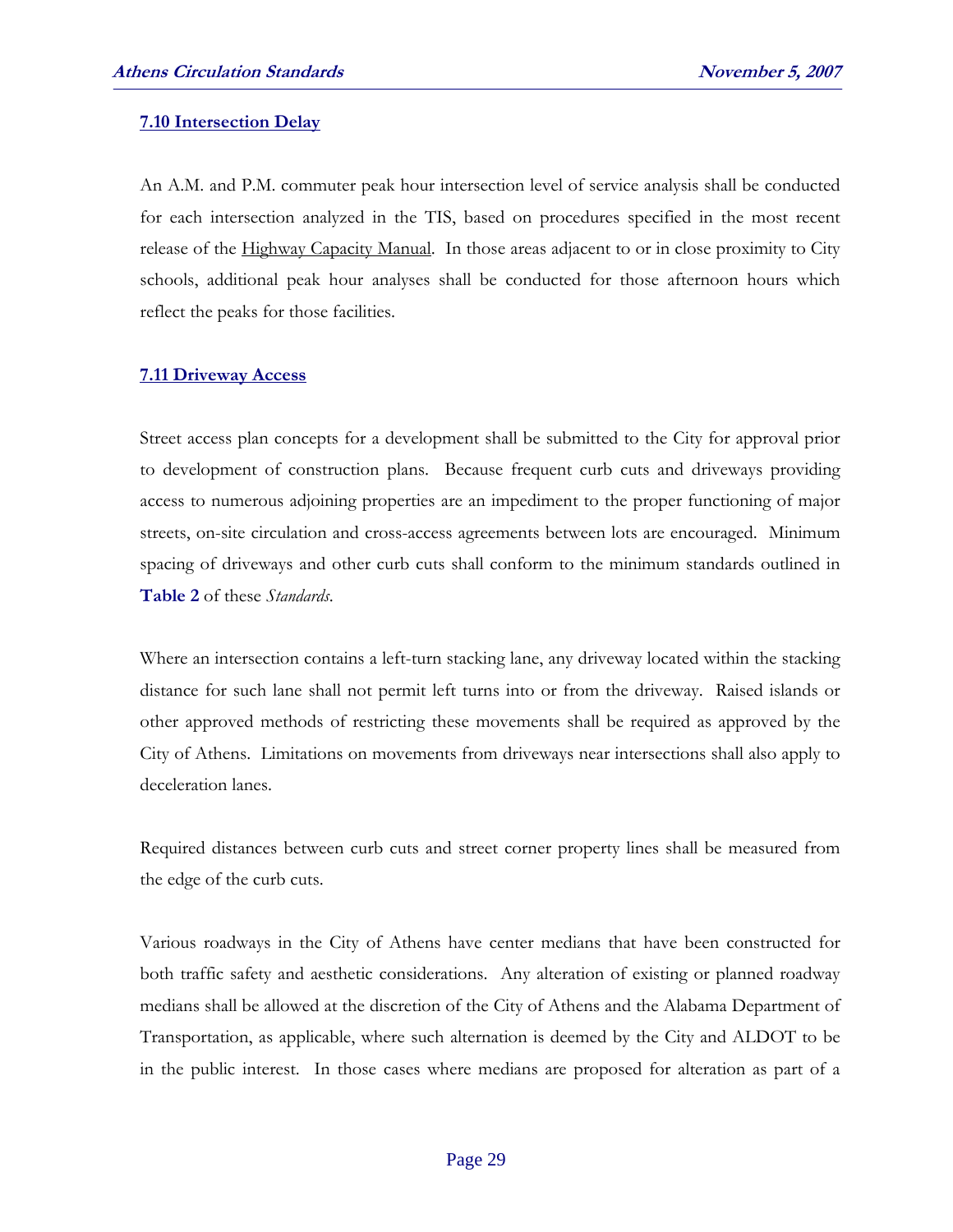#### **7.10 Intersection Delay**

 An A.M. and P.M. commuter peak hour intersection level of service analysis shall be conducted for each intersection analyzed in the TIS, based on procedures specified in the most recent release of the Highway Capacity Manual. In those areas adjacent to or in close proximity to City schools, additional peak hour analyses shall be conducted for those afternoon hours which reflect the peaks for those facilities.

#### **7.11 Driveway Access**

 Street access plan concepts for a development shall be submitted to the City for approval prior to development of construction plans. Because frequent curb cuts and driveways providing access to numerous adjoining properties are an impediment to the proper functioning of major streets, on-site circulation and cross-access agreements between lots are encouraged. Minimum spacing of driveways and other curb cuts shall conform to the minimum standards outlined in **Table 2** of these *Standards*.

Where an intersection contains a left-turn stacking lane, any driveway located within the stacking distance for such lane shall not permit left turns into or from the driveway. Raised islands or other approved methods of restricting these movements shall be required as approved by the City of Athens. Limitations on movements from driveways near intersections shall also apply to deceleration lanes.

Required distances between curb cuts and street corner property lines shall be measured from the edge of the curb cuts.

Various roadways in the City of Athens have center medians that have been constructed for both traffic safety and aesthetic considerations. Any alteration of existing or planned roadway medians shall be allowed at the discretion of the City of Athens and the Alabama Department of Transportation, as applicable, where such alternation is deemed by the City and ALDOT to be in the public interest. In those cases where medians are proposed for alteration as part of a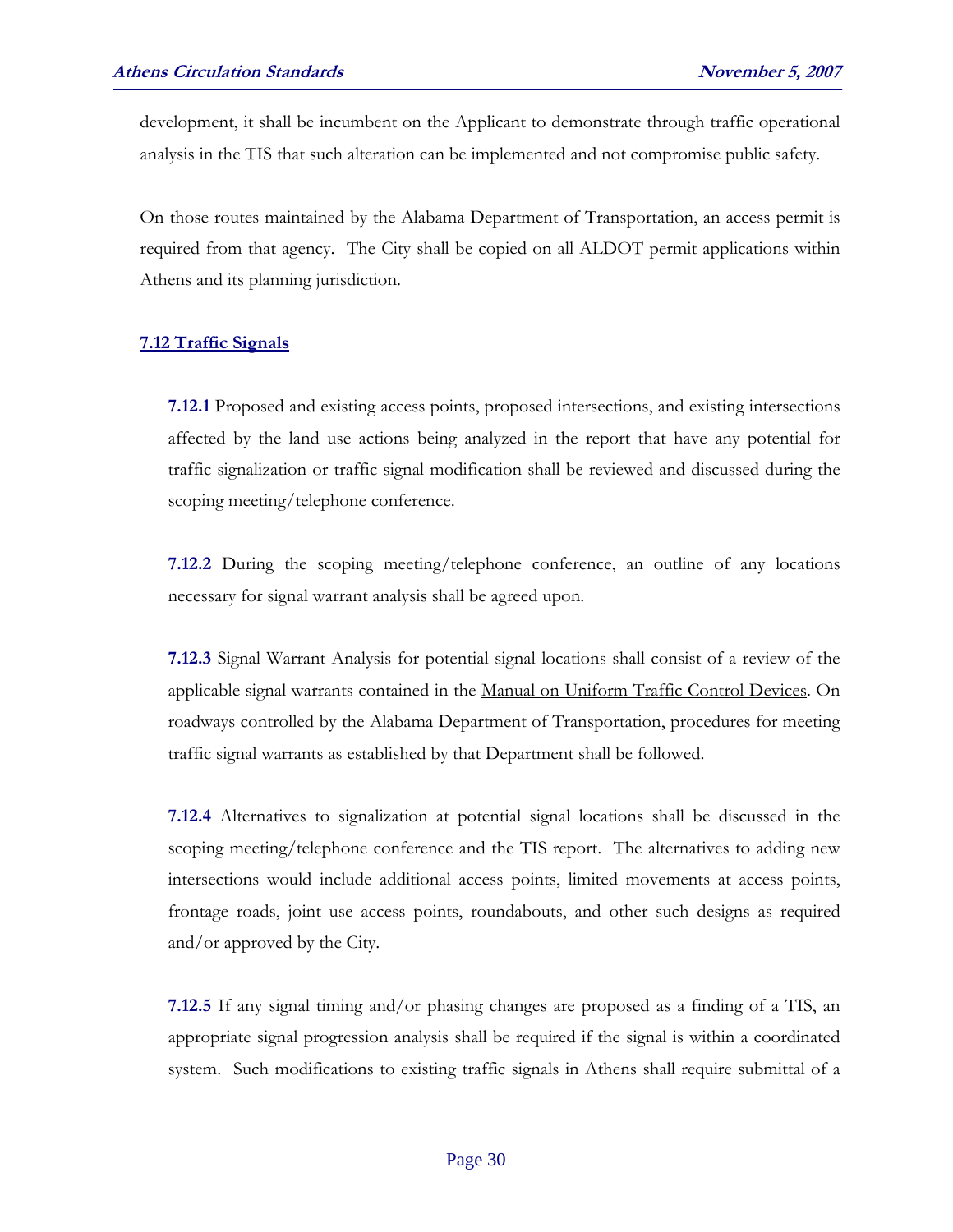development, it shall be incumbent on the Applicant to demonstrate through traffic operational analysis in the TIS that such alteration can be implemented and not compromise public safety.

On those routes maintained by the Alabama Department of Transportation, an access permit is required from that agency. The City shall be copied on all ALDOT permit applications within Athens and its planning jurisdiction.

#### **7.12 Traffic Signals**

**7.12.1** Proposed and existing access points, proposed intersections, and existing intersections affected by the land use actions being analyzed in the report that have any potential for traffic signalization or traffic signal modification shall be reviewed and discussed during the scoping meeting/telephone conference.

**7.12.2** During the scoping meeting/telephone conference, an outline of any locations necessary for signal warrant analysis shall be agreed upon.

**7.12.3** Signal Warrant Analysis for potential signal locations shall consist of a review of the applicable signal warrants contained in the Manual on Uniform Traffic Control Devices. On roadways controlled by the Alabama Department of Transportation, procedures for meeting traffic signal warrants as established by that Department shall be followed.

**7.12.4** Alternatives to signalization at potential signal locations shall be discussed in the scoping meeting/telephone conference and the TIS report. The alternatives to adding new intersections would include additional access points, limited movements at access points, frontage roads, joint use access points, roundabouts, and other such designs as required and/or approved by the City.

**7.12.5** If any signal timing and/or phasing changes are proposed as a finding of a TIS, an appropriate signal progression analysis shall be required if the signal is within a coordinated system. Such modifications to existing traffic signals in Athens shall require submittal of a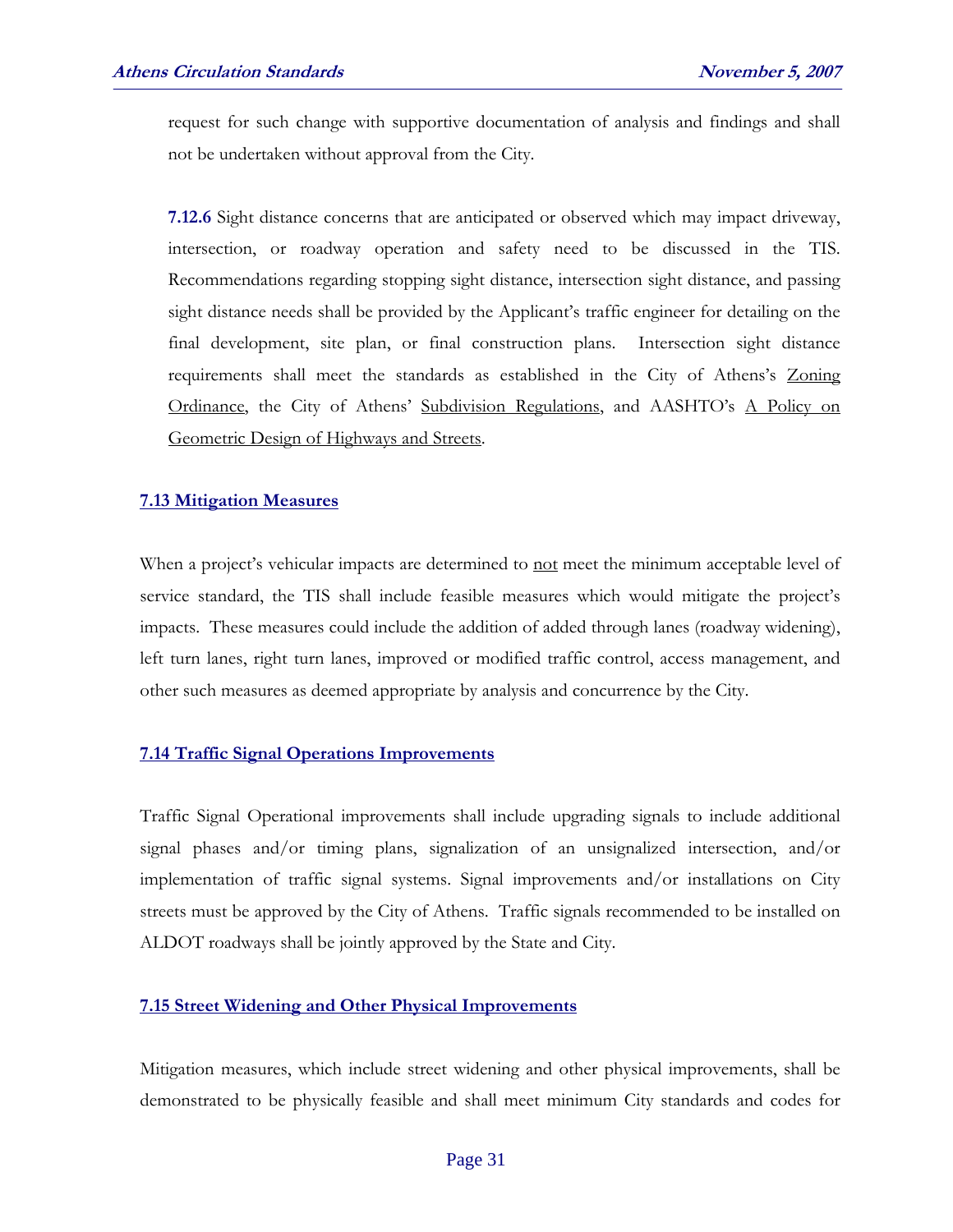request for such change with supportive documentation of analysis and findings and shall not be undertaken without approval from the City.

**7.12.6** Sight distance concerns that are anticipated or observed which may impact driveway, intersection, or roadway operation and safety need to be discussed in the TIS. Recommendations regarding stopping sight distance, intersection sight distance, and passing sight distance needs shall be provided by the Applicant's traffic engineer for detailing on the final development, site plan, or final construction plans. Intersection sight distance requirements shall meet the standards as established in the City of Athens's Zoning Ordinance, the City of Athens' Subdivision Regulations, and AASHTO's A Policy on Geometric Design of Highways and Streets.

#### **7.13 Mitigation Measures**

When a project's vehicular impacts are determined to not meet the minimum acceptable level of service standard, the TIS shall include feasible measures which would mitigate the project's impacts. These measures could include the addition of added through lanes (roadway widening), left turn lanes, right turn lanes, improved or modified traffic control, access management, and other such measures as deemed appropriate by analysis and concurrence by the City.

#### **7.14 Traffic Signal Operations Improvements**

 Traffic Signal Operational improvements shall include upgrading signals to include additional signal phases and/or timing plans, signalization of an unsignalized intersection, and/or implementation of traffic signal systems. Signal improvements and/or installations on City streets must be approved by the City of Athens. Traffic signals recommended to be installed on ALDOT roadways shall be jointly approved by the State and City.

#### **7.15 Street Widening and Other Physical Improvements**

 Mitigation measures, which include street widening and other physical improvements, shall be demonstrated to be physically feasible and shall meet minimum City standards and codes for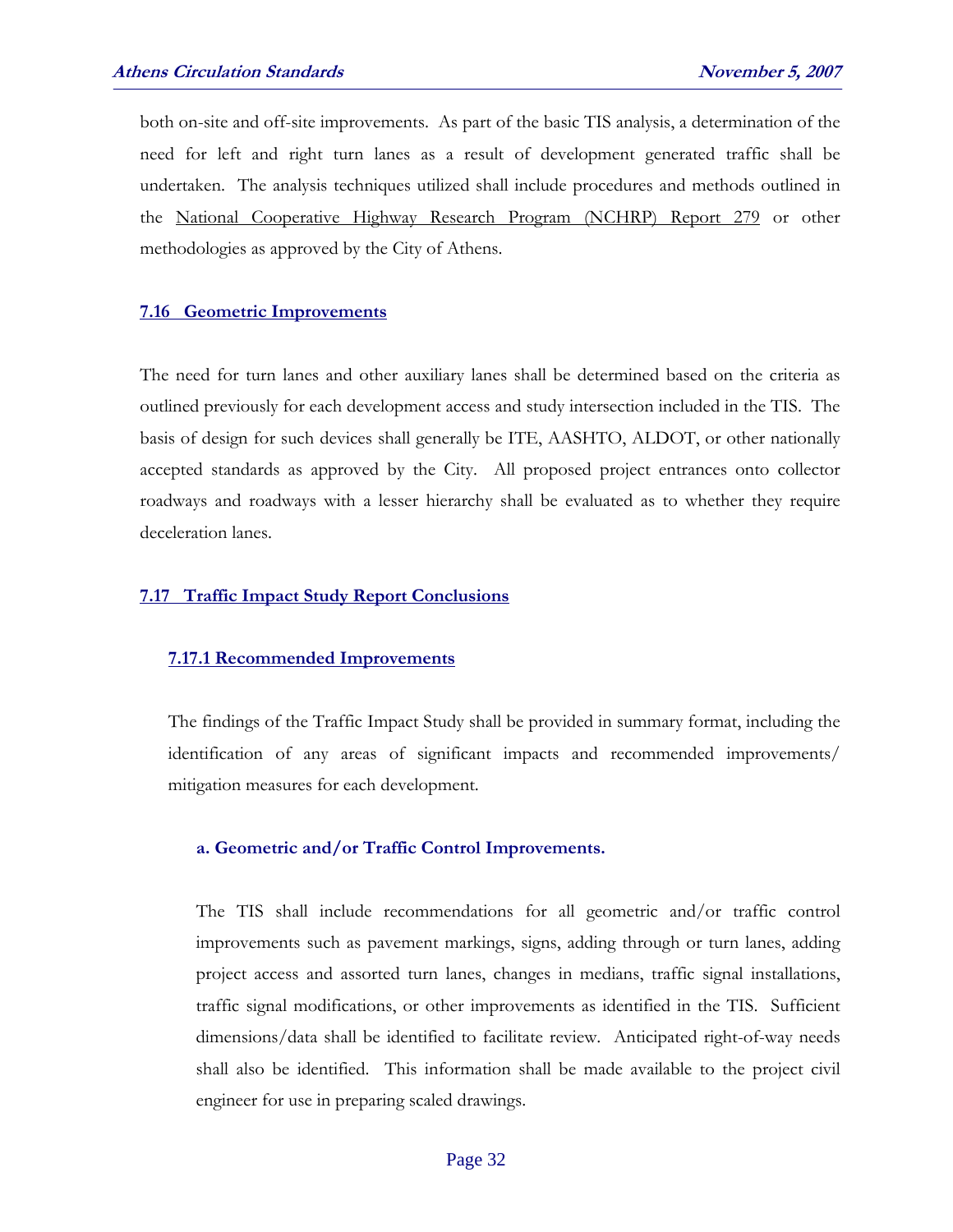both on-site and off-site improvements. As part of the basic TIS analysis, a determination of the need for left and right turn lanes as a result of development generated traffic shall be undertaken. The analysis techniques utilized shall include procedures and methods outlined in the National Cooperative Highway Research Program (NCHRP) Report 279 or other methodologies as approved by the City of Athens.

#### **7.16 Geometric Improvements**

 The need for turn lanes and other auxiliary lanes shall be determined based on the criteria as outlined previously for each development access and study intersection included in the TIS. The basis of design for such devices shall generally be ITE, AASHTO, ALDOT, or other nationally accepted standards as approved by the City. All proposed project entrances onto collector roadways and roadways with a lesser hierarchy shall be evaluated as to whether they require deceleration lanes.

#### **7.17 Traffic Impact Study Report Conclusions**

#### **7.17.1 Recommended Improvements**

The findings of the Traffic Impact Study shall be provided in summary format, including the identification of any areas of significant impacts and recommended improvements/ mitigation measures for each development.

#### **a. Geometric and/or Traffic Control Improvements.**

The TIS shall include recommendations for all geometric and/or traffic control improvements such as pavement markings, signs, adding through or turn lanes, adding project access and assorted turn lanes, changes in medians, traffic signal installations, traffic signal modifications, or other improvements as identified in the TIS. Sufficient dimensions/data shall be identified to facilitate review. Anticipated right-of-way needs shall also be identified. This information shall be made available to the project civil engineer for use in preparing scaled drawings.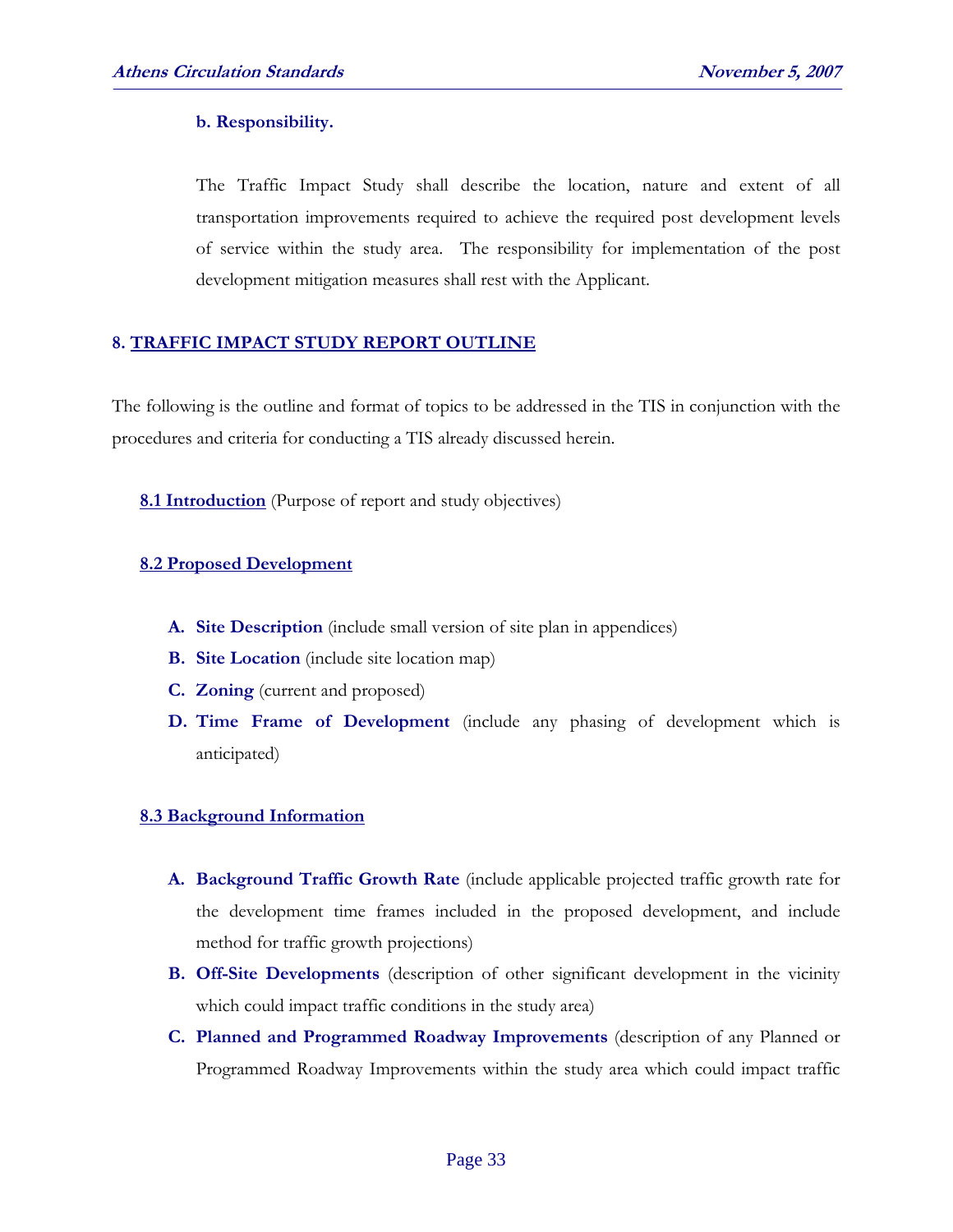#### **b. Responsibility.**

 The Traffic Impact Study shall describe the location, nature and extent of all transportation improvements required to achieve the required post development levels of service within the study area. The responsibility for implementation of the post development mitigation measures shall rest with the Applicant.

#### **8. TRAFFIC IMPACT STUDY REPORT OUTLINE**

The following is the outline and format of topics to be addressed in the TIS in conjunction with the procedures and criteria for conducting a TIS already discussed herein.

**8.1 Introduction** (Purpose of report and study objectives)

#### **8.2 Proposed Development**

- **A. Site Description** (include small version of site plan in appendices)
- **B. Site Location** (include site location map)
- **C. Zoning** (current and proposed)
- **D. Time Frame of Development** (include any phasing of development which is anticipated)

#### **8.3 Background Information**

- **A. Background Traffic Growth Rate** (include applicable projected traffic growth rate for the development time frames included in the proposed development, and include method for traffic growth projections)
- **B. Off-Site Developments** (description of other significant development in the vicinity which could impact traffic conditions in the study area)
- **C. Planned and Programmed Roadway Improvements** (description of any Planned or Programmed Roadway Improvements within the study area which could impact traffic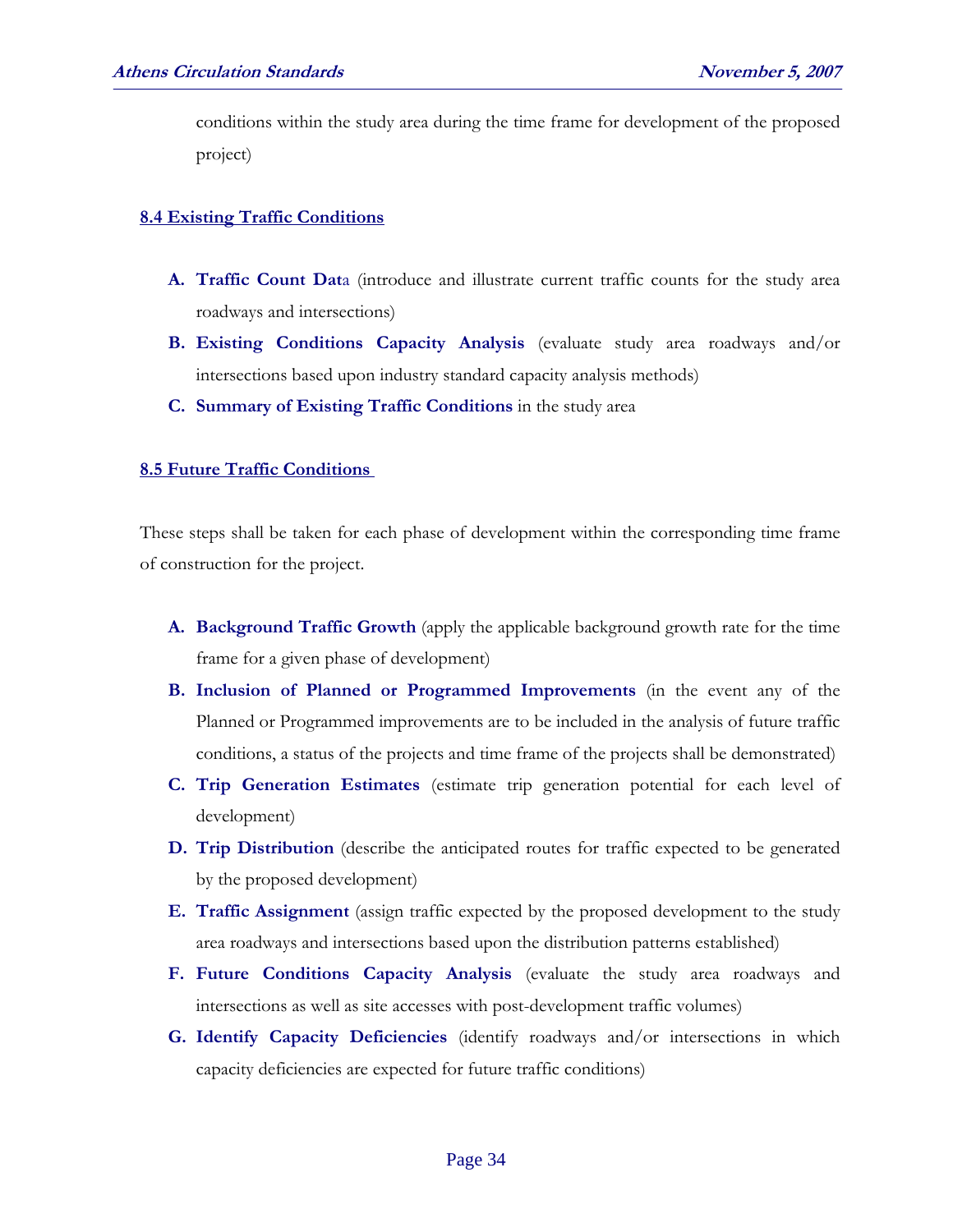conditions within the study area during the time frame for development of the proposed project)

#### **8.4 Existing Traffic Conditions**

- **A. Traffic Count Dat**a (introduce and illustrate current traffic counts for the study area roadways and intersections)
- **B. Existing Conditions Capacity Analysis** (evaluate study area roadways and/or intersections based upon industry standard capacity analysis methods)
- **C. Summary of Existing Traffic Conditions** in the study area

#### **8.5 Future Traffic Conditions**

These steps shall be taken for each phase of development within the corresponding time frame of construction for the project.

- **A. Background Traffic Growth** (apply the applicable background growth rate for the time frame for a given phase of development)
- **B. Inclusion of Planned or Programmed Improvements** (in the event any of the Planned or Programmed improvements are to be included in the analysis of future traffic conditions, a status of the projects and time frame of the projects shall be demonstrated)
- **C. Trip Generation Estimates** (estimate trip generation potential for each level of development)
- **D. Trip Distribution** (describe the anticipated routes for traffic expected to be generated by the proposed development)
- **E. Traffic Assignment** (assign traffic expected by the proposed development to the study area roadways and intersections based upon the distribution patterns established)
- **F. Future Conditions Capacity Analysis** (evaluate the study area roadways and intersections as well as site accesses with post-development traffic volumes)
- **G. Identify Capacity Deficiencies** (identify roadways and/or intersections in which capacity deficiencies are expected for future traffic conditions)